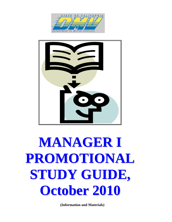



# **MANAGER I PROMOTIONAL STUDY GUIDE, October 2010**

 **(Information and Materials)**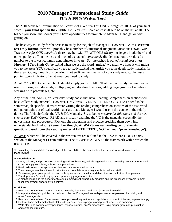# **2010 Manager I Promotional Study** *Guide* **IT'S A 100% Written Test!**

The 2010 Manager I examination will consist of a Written Test ONLY, weighted 100% of your final score…**your final spot on the eligible list**. You must score at least 70% to be on the list at all. The higher you score, the sooner you'll have opportunities to promote to Manager I, and get on with getting on.

The best way to 'study for the test' is to study for the job of Manager I. However…With a **Written test Only format**, there will probably be a number of Situational Judgment Questions (*Two; Two; Two answer for ONE question*); there may be f...f...FRACTIONS (Scary music gets louder here) and other spooky stuff on the test, and most of us haven't *consciously* divided fractions or reduced a number to the lowest common denominator in years. So…Attached is our *educated best guess Manager I Test Study Guide*…And when we use the word "**guide,**" we mean we hope it will **guide** you to the areas YOU specifically need to study….And then **guide** you to in-depth study material for that area. Going through this booklet is not sufficient to meet all of your study needs….Its just a pointer….An indicator of what areas you need to study.

An old  $7<sup>th</sup>$  or  $8<sup>th</sup>$  Grade math book should supply you with MUCH of the math study material you will need; working with decimals, multiplying and dividing fractions, adding large groups of numbers, working with percentages, etc.

Any of the Ken, ARCO, or Peterson's study books that have Reading Comprehension sections will be excellent study material. However, DMV tests, EVEN WRITTEN-ONLY TESTS tend to be somewhat job specific. If 'WE' were writing the reading comprehension sections of the test, we'd pull paragraphs out of real-world materials that a Manager I would use in the course of their daily duties; The Vehicle Code, the VR & DL Manuals. So, to better *prepare for this exam and the next step in your DMV Career,* READ and critically examine the VC & the manuals; especially the newest laws and procedures. Pick out big paragraphs and practice breaking them down into understandable chunks….(**Remember though, ALWAYS answer reading comprehension questions based upon the reading material IN THE TEST, NOT on your 'prior knowledge').**

All areas which will be covered in the written test are outlined in the EXAMINATION SCOPE section of the Manager I Exam bulletin. The SCOPE is ALWAYS the framework within which the test is based:

"In evaluating the candidates' knowledge, skills, and abilities, the examination has been developed to measure the following:

#### **A. Knowledge of:**

- 1. Laws, policies, and procedures pertaining to driver licensing, vehicle registration and ownership, and/or other related issues to apply such laws, policies, and procedures.
- 2. **Basic arithmetic** concepts to calculate and process numerical data.
- 3. Time management techniques to prioritize and complete work assignments for self and staff.
- 4. Supervisory principles, practices, and techniques to plan, monitor, and direct the work activities of employees.
- 5. The department's equal employment opportunity program objectives.
- 6. A manager's role in the department's equal employment opportunity program and the processes available to meet equal employment opportunity objectives.

#### **B. Skill to:**

- 1. Read and comprehend reports, memos, manuals, documents and other job-related materials.
- 2. Interpret and explain policies, procedures, rules, and/or regulations to departmental employees, the public, and other State agencies.
- 3. Read and comprehend State statues, laws, proposed legislation, and regulations in order to interpret, explain, & apply.
- 4. Perform basic mathematical calculations to prepare various program and project reports and summaries.
- 5. Write clear and concise correspondence, reports, policies, and/or procedures using proper grammar, punctuation and sentence structure.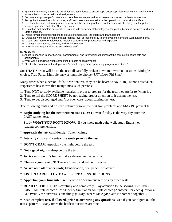- 6. Apply management, leadership principles and techniques to ensure a productive, professional working environment for completion of work tasks and assignments.
- 7. Document employee performance and complete employee performance evaluations and probationary reports.
- 8. Recognize the need to shift priorities, staff, and resources to maximize the operation of the work unit/office.
- 9. Use discretion and diplomacy when dealing with the needs, problems, and/or concerns of employees, the public, business partners, and other State agencies.
- 10. Establish and maintain cooperative relations with departmental employees, the public, business partners, and other State agencies.
- 11. Make formal oral presentations to groups of employees, the public and management.
- 12. Delegate work assignments and appropriate level of responsibility to employees to complete work assignments.
- 13. Coach and mentor employees to improve performance, productivity and expertise.
- 14. Convey expectations, priorities, and vision to others.
- 15. Provide on-the-job training to subordinate staff.

#### **C. Ability to:**

- 1. Adapt to changes in priorities, work assignments, and interruptions that impact the completion of projects and assignments.
- 2. Work within deadlines when completing projects or assignments.
- 3. Effectively contribute to the department's equal employment opportunity program objectives."

So: THAT'S what will be on the test; all carefully broken down into written questions; Multiple choice, True-False, Multiple-answer-multiple-choice (SJT's/Low Fid Sims)!

Many times when a person "fails" a written test, they can be heard to say, "I'm just not a test taker." Experience has shown that many times, such persons:

<.>

- 1. Tend NOT to study available material in order to prepare for the test; they prefer to "wing-it".
- 2. Tend to fail the SCORE SHEET by not paying proper attention to it during the test.
- 3. Tend to get discouraged and "not even care" about passing the test.

**The** following hints and tips can definitely solve the first two problems and MAYBE prevent #3:

- \* **Begin studying for the next written test TODAY**; even if today is the very day after the LAST written test.
- \* **Study WHAT YOU DON'T KNOW.** If you know math quite well; study English or reading comprehension.
- \* **Approach the test confidently**. Take it calmly.
- \* **Intensify study and review the week prior to the test**.
- \* **DON'T CRAM**, especially the night before the test.
- \* **Get a good night's sleep** before the test.
- \* **Arrive on time.** It's best to make a dry-run to the test site.
- \* **Choose a good seat**, NOT near a friend, and get comfortable.
- \* **Arrive with all proper tools**; Identification, pen, pencil, whatever.
- \* **LISTEN CAREFULLY** TO ALL VERBAL INSTRUCTIONS.
- \* **Apportion your time intelligently** with an "exam budget" on any timed tests.
- \* **READ INSTRUCTIONS** carefully and completely. Pay attention to the scoring; Is it True- False? Multiple choice? Low-Fidelity Simulation Multiple choice (2 answers for each question)? KNOWING the answers is one thing; *putting them in the right place* is another altogether...

\* **Scan complete test, if allowed, prior to answering any questions**. See if you can figure out the test's "pattern". Many times the hardest questions are first.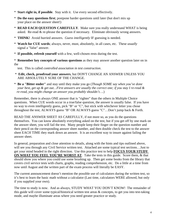- \* **Start right in, if possible**. Stay with it. Use every second effectively.
- \* **Do the easy questions first**; postpone harder questions until later (but don't mix up your place on the answer sheet!)
- \* **READ EACH QUESTION CAREFULLY**. Make sure you really understand WHAT is being asked. Re-read & re-phrase the question if necessary. Eliminate obviously wrong answers.
- \* **THINK!** Avoid hurried answers. *Guess intelligently* IF guessing is needed.
- \* **Watch for CUE words**; always, never, must, absolutely, in all cases, etc. These *usually* signal a "false" answer.
- \* **If possible, refresh yourself** with a few, well-chosen rests during the test.

\* **Remember key concepts of various questions** as they may answer another question later on in the

test. This is called *controlled association in test construction*.

- \* **Edit, check, proofread your answers**, but DON'T CHANGE AN ANSWER UNLESS YOU ARE ABSOLUTELY SURE OF THE CHANGE.
- \* **Be a "Bitter ender"** and stay until they make you go (*Though SOME say when you've done*  *your best, get up & get out…First answers are usually the correct one; if you stay I re-read & re-read, you might change an answer you probably shouldn't….*)

Remember, there is always ONE answer that is "righter" than the others in Multiple Choice questions. When CUE words occur in a true/false question, the answer is usually false. If you have no way to even intelligently guess, pick "B" or "C", but stick with whichever letter you chose throughout the test; ALWAYS guess "B" OR ALWAYS guess "C"…Don't jump back & Forth.

READ THE ANSWER SHEET AS CAREFULLY, if not more so, as you do the questions themselves. You can know absolutely everything asked on the test, but if you get off by one mark on the answer sheet, you will fail the test. Many people keep their finger on the question number and their pencil on the corresponding answer sheet number, and then double check the test to the answer sheet EACH TIME they mark down an answer. It is an excellent way to insure against failing the answer sheet.

In general, preparation and close attention to details, along with the hints and tips outlined above, will see you through any Civil Service written test. Attached are some typical test sections... Just to get your mind headed in the right direction. Use this practice test to help **FOCUS YOUR STUDY ON WHAT YOU FEEL YOU'RE WORST AT**. Take the tests in this guide. Score them, & that should show you where you could use some brushing up. Then get some books from the library that covers civil service tests with charts, graphs, reading comprehension, etc. Do a little at a time from now until August and the written part of the exam process will literally be EASY.

The current announcement doesn't mention the possible use of calculators during the written test, so it's best to learn the basic math without a calculator (Last time, calculators WERE allowed, but only if you supplied your own).

The time to study is now. And as always, STUDY WHAT YOU DON'T KNOW! The remainder of this guide will cover some typical/historical written test areas & concepts, to get you into test-taking mode, and maybe illuminate areas where you need greater practice or study.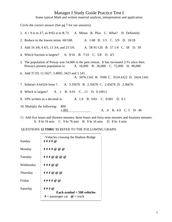## Manager I Study Guide Practice Test I

Some typical Math and written material analysis, interpretation and application

Circle the correct answer (See pg 7 for our answers):

| 1. $A + 9$ is to Z7, as P/63 is to R.73. A. Minus B. Plus C. What? D. Definitely                                                                                       |
|------------------------------------------------------------------------------------------------------------------------------------------------------------------------|
| A. 1/48 B. 1/3 C. 5/9 D. 10/18<br>2. Reduce to the lowest terms 60/108.                                                                                                |
| 3. Add 16 3/8, 4 4/5, 13 3/4, and 23 5/6. A. 58 91/120 B. 57 1/4 C. 58 D. 59                                                                                           |
| 4. Which fraction is largest? A. 9/16 B. 7/10 C. 5/8 D. 4/5                                                                                                            |
| 5. The population of Poway was 54,000 in the past census. It has increased 2/3's since then.<br>Poway's present population is: A. 18,000 B. 36,000 C. 72,000 D. 90,000 |
| 6. Add 37.03, 11.5627, 3.4005, 3423 and 1.141.<br>A. 3476.1342 B. 3500 C. 3524.4322 D. 3424.1342                                                                       |
| 7. Subtract 4.64324 from 7. A. 3.35676 B. 2.35676 C. 2.45676 D. 2.36676                                                                                                |
| 8. Which is largest? A. .1 B. 0.01 C. .11 D. 0.10011                                                                                                                   |
| A. 1.0 B. 0/01 C. 0.001 D. 0.1<br>9. 10% written as a decimal is:                                                                                                      |
| 10. Multiply the following:<br>800<br>A. .4 B. 4.0 C. 5 D. 40<br>x.005                                                                                                 |

11. Add five hours and thirteen minutes, three hours and forty-nine minutes and fourteen minutes: A. 8 hr 16 min C. 9 hr 76 min B. 9 hr 16 min D. 8 hr 6 min

## QUESTIONS **12 THRU 15** REFER TO THE FOLLOWING GRAPH:

| Sunday    | Vehicles crossing the Hudson Bridge<br>  ####@                                |
|-----------|-------------------------------------------------------------------------------|
| Monday    | ####@@@                                                                       |
| Tuesday   | ###@@@@                                                                       |
| Wednesday | ###@@                                                                         |
| Thursday  | # # # @ @ @                                                                   |
| Friday    | # # # # @ @                                                                   |
| Saturday  | ### $@$<br>Each symbol $=$ 500 vehicles<br># = passenger car $\omega$ = truck |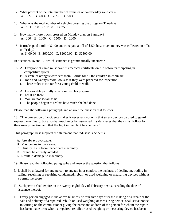- 12. What percent of the total number of vehicles on Wednesday were cars? A. 30% B. 60% C. 20% D. 50%
- 13. What was the total number of vehicles crossing the bridge on Tuesday? A. 7 B. 700 C. 1100 D. 3500
- 14. How many more trucks crossed on Monday than on Saturday? A. 200 B. 1000 C. 1500 D. 2000
- 15. If trucks paid a toll of \$1.00 and cars paid a toll of \$.50, how much money was collected in tolls on Friday? A. \$400.00 B. \$600.00 C. \$2000.00 D. \$2500.00

In questions 16 and 17, which sentence is grammatically incorrect?

- 16. A. Everyone at camp must have his medical certificate on file before participating in competitive sports.
	- B. A crate of oranges were sent from Florida for all the children in cabin six.
	- C. John and Danny's room looks as if they were prepared for inspection.
	- D. Three miles is too far for a young child to walk.
- 17. A. He was able partially to accomplish his purpose.
	- B. Let it lie there.
	- C. You are not so tall as he.
	- D. The people began to realize how much she had done.

Please read the following paragraph and answer the question that follows

18. "The prevention of accidents makes it necessary not only that safety devices be used to guard exposed machinery, but also that mechanics be instructed in safety rules that they must follow for their own protection and that the light in the plant be adequate."

This paragraph best supports the statement that industrial accidents:

- A. Are always avoidable.
- B. May be due to ignorance.
- C. Usually result from inadequate machinery
- D. Cannot be entirely avoided.
- E. Result in damage to machinery.

19. Please read the following paragraphs and answer the question that follows

- I. It shall be unlawful for any person to engage in or conduct the business of dealing in, trading in, selling, receiving or repairing condemned, rebuilt or used weighing or measuring devices without a permit therefore.
- II. Such permit shall expire on the twenty-eighth day of February next succeeding the date of issuance thereof.
- III. Every person engaged in the above business, within five days after the making of a repair or the sale and delivery of a repaired, rebuilt or used weighing or measuring device, shall serve notice in writing on the commissioner giving the name and address of the person for whom the repair has been made or to whom a repaired, rebuilt or used weighing or measuring device has been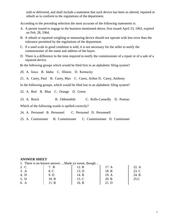sold or delivered, and shall include a statement that such device has been so altered, repaired or rebuilt as to conform to the regulations of the department.

According to the preceding selection the most accurate of the following statements is:

- A. A permit issued to engage in the business mentioned above, first issued April 23, 1963, expired on Feb. 28, 1964.
- B. A rebuilt or repaired weighing or measuring device should not operate with less error than the tolerance permitted by the regulations of the department.
- C. If a used scale in good condition is sold, it is not necessary for the seller to notify the commissioner of the name and address of the buyer.
- D. There is a difference in the time required to notify the commissioner of a repair or of a sale of a repaired device.

**I**n the following groups which would be filed first in an alphabetic filing system?

20. A. Iowa B. Idaho C. Illinois D. Kentucky

21. A. Carey, Paul B. Carey, Max C. Carez, Arthur D. Carey, Anthony

In the following groups, which would be filed last in an alphabetic filing system?

- 22. A. Red B. Blue C. Orange D. Green
- 23. A. Buick B. Oldsmobile C. Rolls-Canardly D. Pontiac.

Which of the following words is spelled correctly?

- 24. A. Perrsonel B. Personnel C. Perssonel D. Personnell
- 25. A. Comissioner B. Commisioner C. Commissioner D. Comisioner

#### **ANSWER SHEET**

|      | 1. There is no known answerMade ya sweat, though |       |       |       |
|------|--------------------------------------------------|-------|-------|-------|
| 2. C |                                                  |       | 17. A | 22. A |
| 3. A | 8. C                                             | 13. D | 18. B | 23. C |
| 4. D | 9. D                                             | 14. B | 19. A | 24. B |
| 5. D | 10. B                                            | 15. C | 20. B | 25.C  |
| 6. A | 11. B                                            | 16. B | 21. D |       |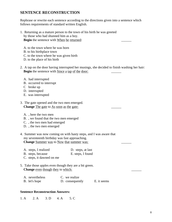## **SENTENCE RECONSTRUCTION**

Rephrase or rewrite each sentence according to the directions given into a sentence which follows requirements of standard written English.

- 1. Returning as a mature person to the town of his birth he was greeted by those who had shunned him as a boy. **Begin** the sentence with When he returned:
	- A. to the town where he was born
	- B. to his birthplace town
	- C. to the town where he was given birth
	- D. to the place of his birth
- 2. A tap on the door having interrupted her musings, she decided to finish washing her hair: **Begin** the sentence with Since a tap of the door:
	- A. had interrupted
	- B. occurred to interrupt
	- C broke up
	- D. interrupted
	- E. was interrupted
- 3. The gate opened and the two men emerged. Change The gate to As soon as the gate:
	- A. , here the two men
	- B. , we found that the two men emerged
	- C. , the two men had emerged
	- D. , the two men emerged
- 4. Summer was now coming on with hasty steps, and I was aware that my seventeenth birthday was fast approaching. **Change** Summer was to Now that summer was: \_\_\_\_\_\_
	- A. steps, I realized D. steps, at last B. steps, because E. steps, I found
	- C. steps, it dawned on me
- 5. Take those apples even though they are a bit green. **Change** even though they to which:

| A. nevertheless | C. we realize   |             |
|-----------------|-----------------|-------------|
| B. let's hope   | D. consequently | E. it seems |

#### **Sentence Reconstruction Answers:**

1. A 2. A 3. D 4. A 5. C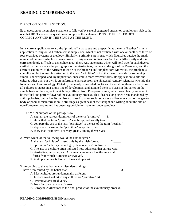## **READING COMPREHENSION**

#### DIRECTION FOR THIS SECTION:

Each question or incomplete statement is followed by several suggested answer or completions. Select the one that BEST answer the question or completes the statement. PRINT THE LETTER OF THE CORRECT ANSWER IN THE SPACE AT THE RIGHT.

In its current application to art, the "primitive" is as vague and unspecific as the term "heathen" is in its application to religion. A heathen sect is simply one, which is not affiliated with one or another of three or four organized systems of theology. Similarly, a primitive art is one, which flourishes outside the small number of cultures, which we have chosen to designate as civilizations. Such arts differ vastly and it is correspondingly difficult to generalize about them. Any statements which will hold true for such diverse aesthetic experiences as the pictographs of the Australians, the woven designs of the Peruvians, and the abstract sculptures of the Africans must be of the broadest and simplest sort. Moreover, the problem is complicated by the meaning attached to the term "primitive" in its other uses. It stands for something simple, undeveloped, and, by implication, ancestral to more evolved forms. Its application to arts and cultures other than our own is an unfortunate heritage from the nineteenth-century scientists who laid the foundations of anthropology. Elated by the newly enunciated doctrines of evolution, these students saw all cultures as stages in a single line of development and assigned them to places in this series on the simple basis of the degree to which they differed from European culture, which was blandly assumed to be the final and perfect flower of the evolutionary process. This idea has long since been abandoned by anthropologists, but before its demise it diffused to other social sciences and became a part of the general body of popular misinformation. It still tinges a great deal of the thought and writing about the arts of non-European peoples and has been responsible for many misunderstandings.

- 1. The MAIN purpose of the passage is to
	- A. explain the various definitions of the term "primitive"  $1$ .
	- B. show that the term "primitive" can be applied validly to art
	- C. compare the use of the term "primitive" to the use of the term "heathen"
	- D. deprecate the use of the "primitive" as applied to art
	- E. show that "primitive" arts vary greatly among themselves
- 2. With which of the following would the author agree?
	- A. the term "primitive" is used only by the misinformed. 2.
	- B. "primitive" arts may be as highly developed as "civilized arts.
	- C. The arts of a culture often indicated how advanced that culture was.
	- D. Australian, Peruvian, and African arts are much like the ancestral forms from which European art evolved.
	- E. A simple culture is likely to have a simple art.
- 3. According to the author, many misunderstandings

have been caused by the belief that 3.

- A. Most cultures are fundamentally different.
- B. Inferior works of art in any culture are "primitive" art.
- C. "Primitive arts are diverse.
- D. Non-European arts are diverse.
- E. European civilizations is the final product of the evolutionary process.

#### **READING COMPREHENSION answers**

1. D 2. B 3. E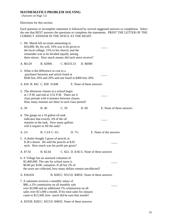#### **MATHEMATICS PROBLEM SOLVING**

(Answers on Page 12)

Directions for this section:

Each question or incomplete statement is followed by several suggested answers or completion. Select the one that BEST answers the questions or completes the statements. PRINT THE LETTER OF THE CORRECT ANSWER IN THE SPACE AT THE RIGHT.

|                   |             | 1. Mr. Marsh left an estate amounting to<br>\$24,000. By his will, 10% was to be given to<br>the local college, 15% to his church; and the<br>remainder was to be divided equally among<br>three nieces. How much money did each niece receive?                     |                                                  |           |                                            |                          |
|-------------------|-------------|---------------------------------------------------------------------------------------------------------------------------------------------------------------------------------------------------------------------------------------------------------------------|--------------------------------------------------|-----------|--------------------------------------------|--------------------------|
|                   | A. \$6129   | B. \$2000.                                                                                                                                                                                                                                                          | C. \$6333.33                                     | D. \$6000 |                                            |                          |
|                   |             | 2. What is the difference in cost to a<br>purchaser between and article listed at<br>\$500 less 10% and 20% and one listed at \$490 lees 20%                                                                                                                        |                                                  |           |                                            |                          |
|                   |             | A. \$18 B. \$42 C. \$58 D.\$48                                                                                                                                                                                                                                      |                                                  |           | E. None of these answers                   |                          |
|                   |             | 3. The afternoon classes in a school begin<br>at 1 P.M. and end at 3:52 P.M. There are 4<br>class periods with 4 minutes between classes.<br>How many minutes are there in each class period?                                                                       |                                                  |           |                                            |                          |
| A. 39             |             | B.40                                                                                                                                                                                                                                                                | C.59                                             | D. 60     |                                            | E. None of these answers |
|                   |             | 4. The gauge on a 10 gallon oil tank<br>indicates that exactly 3/8 of the oil<br>remains in the tank. How many gallons<br>will it require to fill the tank?                                                                                                         |                                                  |           |                                            |                          |
| $A. 2\frac{1}{4}$ |             | B. $3\frac{3}{4}$ C. $6\frac{1}{2}$                                                                                                                                                                                                                                 | $D.7\frac{1}{4}$                                 |           |                                            | E. None of the answers   |
|                   |             | 5. A dealer bought 3 gross of pencils at<br>\$.38 a dozen. He sold the pencils at \$.05<br>each. How much was his profit per gross?                                                                                                                                 |                                                  |           |                                            |                          |
|                   | A. \$7.92   | B. \$2.64                                                                                                                                                                                                                                                           |                                                  |           | C. $$22. D. $.66 E.$ None of these answers |                          |
|                   |             | 6. A Village has an assessed valuation of<br>\$2,400,000. The rate for school taxes is<br>\$0.80 per \$100. valuation. If all but 2% of<br>the taxes are collected, how many dollars remain uncollected?                                                            |                                                  |           |                                            |                          |
|                   | A. \$18,816 |                                                                                                                                                                                                                                                                     | B. \$285C. \$315D. \$485E. None of these answers |           |                                            |                          |
|                   |             | 7. A salesmen receives a monthly salary of<br>\$80, a 2% commission on all monthly sale<br>over \$2,000 and an additional 1% commission on all<br>sales over \$11,000 a month. If his total sales for January<br>came to \$13,500, how much did he earn that month? |                                                  |           |                                            |                          |
|                   |             | A. \$335B. \$285C. \$315D. \$485E. None of these answers                                                                                                                                                                                                            |                                                  |           |                                            |                          |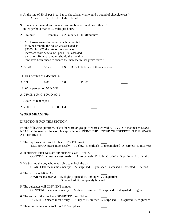|  |  |  |  |                               | 8. At the rate of \$0.15 per 6-oz. bar of chocolate, what would a pound of chocolate cost? |  |
|--|--|--|--|-------------------------------|--------------------------------------------------------------------------------------------|--|
|  |  |  |  | A. 45 B. 55 C. 50 D. 42 E. 40 |                                                                                            |  |

- 9. How much longer does it take an automobile to travel one mile at 20 miles per hour than at 30 miles per hour? \_\_\_\_
- A. 1 minute B. 10 minutes C. 20 minutes D. 40 minutes
- 10. Mr. Brown owned a house, which her rented for \$60 a month. the house was assessed at \$9000 . In 1975 the rate of taxation was increased from \$25 to \$28 per \$1000 assessed valuation. By what amount should the monthly rent have been raised to absurd the increase in that year's taxes?

A. \$7.20 B. \$2.25 C. \$ D. \$21 E. None of these answers

11. 10% written as a decimal is?

A. 1.9 B. 0.01 C. 001 D. .01 \_\_\_\_

- 12. What percent of 5/6 is 3/4?
- A. 75% B. 60% C. 80% D. 90%
- 13. 200% of 800 equals

A. 2500B. 16 C. 1600D. 4

#### **WORD MEANING**

#### DIRECTIONS FOR THIS SECTION:

For the following questions, select the word or groups of words lettered A, B, C, D, E that means MOST NEARLY the seam as the word in capital letters. PRINT THE LETTER OF CORRECT IN THE SPACE AT THE RIGHT.

- 1. The pupil was criticized for his SLIPSHOD work. SLIPSHOD means most nearly: A. slow B. childish C. uncompleted D. careless E. incorrect
- 2. In business letter we state our business CONCISELY. CONCISELY means most nearly: A. Accurately B. fully C. briefly D. politely E. officially
- 3. He Startled the boy who was trying to unlock the car \_\_\_\_ STARTLED means most nearly: A. surprised B. punished C. chased D. arrested E. helped
- 4. The door was left AJAR. AJAR means nearly: A. slightly opened B. unhinged C. unguarded D. unlocked E. completely blocked
- 5. The delegates will CONVENE at noon. CONVENE means most nearly: A. dine B. amused C. surprised D. disgusted E. agree
- 6. The antics of the monkeys DIVERTED the children. DIVERTED means most nearly: A. upset B. amused C. surprised D. disgusted E. frightened

7. Their aim seems to be to THWART our plans.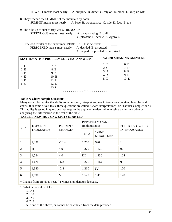THWART means most nearly: A. simplify B. direct C. rely on D. block E. keep up with

- 8. They reached the SUMMIT of the mountain by noon. SUMMIT means most nearly: A. base B. wooded area C. side D. face E. top
- 9. The hike up Mount Marcy was STRENUOUS. \_\_\_\_ STRENUOUS means most nearly: A. disappointing B. dull C. pleasant D. scenic E. vigorous
- 10. The odd results of the experiment PERPLEXED the scientists. PERPLEXED means most nearly: A. decided B. disgusted C. helped D. puzzled E. surprised

|                                             | <b>MATHEMATICS PROBLEM SOLVING ANSWERS</b>              |                                      | <b>WORD MEANING ANSWERS</b>           |
|---------------------------------------------|---------------------------------------------------------|--------------------------------------|---------------------------------------|
| 1. D<br>2.E<br>3. B<br>4. E<br>5. B<br>6. C | 7. A<br>8. E<br>9. A<br>10.B<br>11. D<br>12. D<br>13. C | 1. D<br>2. C<br>3. A<br>4. A<br>5. D | 6. B<br>7. D<br>8. E<br>9. E<br>10. D |

<<<<<<<<<<<\*\*>>>>>>>>>>>

#### **Table & Chart Sample Questions**

Many state jobs require the ability to understand, interpret and use information contained in tables and charts. (On some of our tests, these questions are called "Chart Interpretation", or "Tabular Completion".) This ability is tested in questions that require the applicant to determine missing values in a table by analyzing the information in the rest of the table.

**TABLE I: NEW HOUSING UNITS STARTED**

| <b>YEAR</b>                                                   | <b>TOTAL IN</b>  | <b>PERCENT</b>          | (in thousands) | PRIVATELY OWNED            | PUBLICLY OWNED      |  |
|---------------------------------------------------------------|------------------|-------------------------|----------------|----------------------------|---------------------|--|
|                                                               | <b>THOUSANDS</b> | CHANGE*                 | <b>TOTAL</b>   | 1-UNIT<br><b>STRUCTURE</b> | <b>IN THOUSANDS</b> |  |
| 1                                                             | 1,398            | $-20.4$                 | 1,250          | 990                        | I                   |  |
| $\overline{2}$                                                | $\mathbf{I}$     | 4.9                     | 1,370          | 1,120                      | 96                  |  |
| 3                                                             | 1,524            | 4.0                     | $\mathbf{I}$   | 1,236                      | 104                 |  |
| $\overline{4}$                                                | 1,420            | $-6.8$                  | 1,325          | 1,164                      | 95                  |  |
| 5                                                             | 1,380            | $-2.8$                  | 1,260          | IV                         | 120                 |  |
| 6                                                             | 1,690            | $\overline{\mathbf{V}}$ | 1,520          | 1,415                      | 170                 |  |
| * Change from previous year. (-) Minus sign denotes decrease. |                  |                         |                |                            |                     |  |

1. What is the value of I.?

- 1. 148
- 2. 150
- 3. 146
- 4. 248

5. None of the above, or cannot be calculated from the data provided.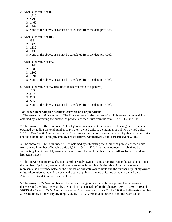2. What is the value of II.?

- 1. 1,216
- 2. 2,495
- 3. 1,466
- 4. 1,464

5. None of the above, or cannot be calculated from the data provided.

3. What is the value of III.?

- 1. 288
- 2. 1,420
- 3. 1,132
- 4. 1,430
- 5. None of the above, or cannot be calculated from the data provided.

4. What is the value of IV.?

1. 1,140

2. 1,380

- 3. 1,102
- 4. 1,094

5. None of the above, or cannot be calculated from the data provided.

5. What is the value of V.? (Rounded to nearest tenth of a percent)

1. 18.3

- 2. 81.7
- 3. 21.5
- 4. 22.5

5. None of the above, or cannot be calculated from the data provided.

#### **Tables & Chart Sample Questions Answers and Explanations**

1. The answer is 148 or number 1. The figure represents the number of publicly owned units which is obtained by subtracting the number of privately owned units from the total:  $1,398 - 1,250 = 148$ .

2. The answer is 1,466 or number 3. The figure represents the total number of housing units which is obtained by adding the total number of privately owned units to the number of publicly owned units: 1,370 + 96 = 1,466. Alternative number 1 represents the sum of the total number of publicly owned units and the number of 1-unit, privately owned structures. Alternatives 2 and 4 are irrelevant values.

3. The answer is 1,420 or number 2. It is obtained by subtracting the number of publicly owned units from the total number of housing units:  $1,524 - 104 = 1,420$ . Alternative number 1 is obtained by subtracting 1-unit, privately owned structures from the total number of units. Alternatives 3 and 4 are irrelevant values.

4. The answer is number 5. The number of privately owned 1-unit structures cannot be calculated, since the number of privately owned multi-unit structures is not given in the table. Alternative number 1 represents the difference between the number of privately owned units and the number of publicly owned units. Alternative number 2 represents the sum of publicly owned units and privately owned units. Alternatives 3 and 4 are irrelevant values.

5. The answer is 22.5 or number 4. The percent change is calculated by computing the increase or decrease and dividing the result by the number that existed before the change: 1,690 - 1,380 = 310 and 310/1380 = 22.46 or 22.5. Alternative number 1 erroneously divides 310 by 1,690 and alternative number 2 was found by erroneously dividing 1,380 by 1,690. Alternative number 3 is an irrelevant value.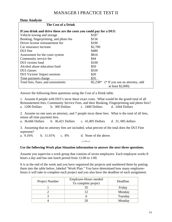# MANAGER I PRACTICE TEST II

## **Data Analysis**

| The Cost of a Drink                                                 |                                             |  |  |  |  |  |  |  |
|---------------------------------------------------------------------|---------------------------------------------|--|--|--|--|--|--|--|
| If you drink and drive these are the costs you could pay for a DUI: |                                             |  |  |  |  |  |  |  |
| Vehicle towing and storage                                          | \$187                                       |  |  |  |  |  |  |  |
| Booking, fingerprinting, and photo fee                              | \$156                                       |  |  |  |  |  |  |  |
| Driver license reinstatement fee                                    | \$100                                       |  |  |  |  |  |  |  |
| Car insurance increase                                              | \$2,700                                     |  |  |  |  |  |  |  |
| DUI fine                                                            | \$480                                       |  |  |  |  |  |  |  |
| Assessment for the court system                                     | \$816                                       |  |  |  |  |  |  |  |
| Community service fee                                               | \$44                                        |  |  |  |  |  |  |  |
| DUI victims fund                                                    | \$100                                       |  |  |  |  |  |  |  |
| Alcohol abuse education fund                                        | \$50                                        |  |  |  |  |  |  |  |
| DUI classes                                                         | \$550                                       |  |  |  |  |  |  |  |
| <b>DUI Victims' Impact sessions</b>                                 | \$20                                        |  |  |  |  |  |  |  |
| Time payment charge                                                 | \$35                                        |  |  |  |  |  |  |  |
| Total fees, fines, and assessments                                  | $$5,238*$<br>(* If you use an attorney, add |  |  |  |  |  |  |  |
|                                                                     | at least \$2,000)                           |  |  |  |  |  |  |  |

Answer the following three questions using the Cost of a Drink table.

1. Assume 8 people with DUI's incur these exact costs. What would be the grand total of all Reinstatement fees, Community Service Fees, and their Booking, Fingerprinting and photo fees? a. 1200 Dollars b. 300 Dollars c. 2400 Dollars d. 2444 Dollars

2. Assume no one uses an attorney, and 7 people incur these fees. What is the total of all fees, minus all time payment fees.

a. 36,666 Dollars b. 36,421 Dollars c. 41,005 Dollars d. 31, 005 dollars

3. Assuming that no attorney fees are included, what percent of the total does the DUI Fine represent?

a. 9.16% b. 11.01% c. 8% d. None of the above.

**<<<\*>>>** 

#### **Use the following Work plan Situation information to answer the next three questions.**

Assume you supervise a work group that consists of seven employees. Each employee works 8 hours a day and has one lunch period from 12:00 to 1:00.

It is at the end of the week and you have organized the projects and numbered them by putting them into the table below, labeled "Work Plan." You have determined how many employeehours it will take to complete each project and you also have the deadline of each assignment.

| Project Number | Employee-Hours needed<br>To complete project | Deadline |
|----------------|----------------------------------------------|----------|
|                | 35                                           | Friday   |
|                |                                              | Monday   |
|                |                                              | Tuesday  |
|                |                                              | Monday   |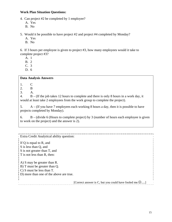#### **Work Plan Situation Questions:**

4. Can project #2 be completed by 1 employee?

A. Yes

B. No

5. Would it be possible to have project #2 and project #4 completed by Monday?

- A. Yes
- B. No

6. If 3 hours per employee is given to project #3, how many employees would it take to complete project #3?

- A. 1
- B. 2
- C. 3
- D. 6

#### **Data Analysis Answers**

1. C

2. B

3. A.

4. B – (If the job takes 12 hours to complete and there is only 8 hours in a work day, it would at least take 2 employees from the work group to complete the project).

5. A – (If you have 7 employees each working 8 hours a day, then it is possible to have projects completed by Monday).

6. B – (divide 6 (Hours to complete project) by 3 (number of hours each employee is given to work on the project) and the answer is 2).

Extra Credit Analytical ability question:

If Q is equal to R, and S is less than Q, and S is not greater than T, and T is not less than R, then:

A) S may be greater than R. B) T must be greater than Q. C) S must be less than T. D) more than one of the above are true.

[Correct answer is C, but you could have fooled me. $\mathbb{Q}$ ....]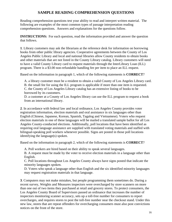## **SAMPLE READING COMPREHENSION QUESTIONS**

Reading comprehension questions test your ability to read and interpret written material. The following are examples of the most common types of passage interpretation reading comprehension questions. Answers and explanations for the questions follow.

**INSTRUCTIONS:** For each question, read the information provided and answer the question that follows.

**1**. Library customers may ask the librarians at the reference desk for information on borrowing books from other public library agencies. Cooperative agreements between the County of Los Angeles Public Library and local and national libraries allow County residents to obtain books and other materials that are not listed in the County Library catalog. Library customers will need to have a valid County Library card to request materials through the InterLibrary Loan (ILL) program. There is a \$3.00 non-refundable handling fee per item to place an ILL request.

Based on the information in paragraph 1, which of the following statements is **CORRECT**?

A. a library customer must be a resident to obtain a valid County of Los Angeles Library card. B. the small fee for using the ILL program is applicable if more than one item is requested. C. the County of Los Angeles Library catalog has an extensive listing of books to be borrowed by its customers.

D. a customer at a County of Los Angeles library can use the ILL program to request a book from an international library.

**2**. In accordance with federal law and local ordinance, Los Angeles County provides voter registration information, election materials and oral assistance in six languages other than English (Chinese, Japanese, Korean, Spanish, Tagalog and Vietnamese). Voters who request election materials in one of these languages will be mailed a translated sample ballot for all Los Angeles County-conducted elections. Additionally, poll locations that have been identified as requiring oral language assistance are supplied with translated voting materials and staffed with bilingual-speaking poll workers whenever possible. Signs are posted in those poll locations identifying the language(s) spoken.

Based on the information in paragraph 2, which of the following statements is **CORRECT**?

A. Poll workers are hired based on their ability to speak several languages.

B. A request must be made by the voter to receive election materials in a language other than English.

C. Poll locations throughout Los Angeles County always have signs posted that indicate the minority languages spoken.

D. Voters who speak a language other than English and the six identified minority languages may request registration materials in that language.

**3**. Computers may not make mistakes, but people programming them sometimes do. During a recent survey, Weights and Measures inspectors were overcharged by store scanners on more than one out of two items they purchased at retail and grocery stores. To protect consumers, the Los Angeles County Board of Supervisors passed an ordinance that increases the number of inspectors monitoring scanner accuracy, sets up a toll-free number for consumers to report overcharges, and requires stores to post the toll-free number near the checkout stand. Under this new law, stores that are repeat offenders for overcharging consumers must also post convictions notices on the front of the store.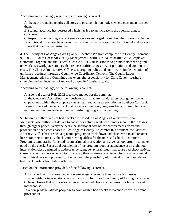According to the passage, which of the following is correct?

A. the new ordinance requires all stores to post conviction notices where consumers can see them.

B. scanner accuracy has decreased which has led to an increase in the overcharging of consumers.

C. inspectors conducting a recent survey were overcharged more often than correctly charged. D. additional inspectors have been hired to handle the increased number of retail and grocery stores that overcharge customers.

**4**. The County of Los Angeles Air Quality-Rideshare Program complies with County Ordinance 90- 0033U, South Coast Air Quality Management District (SCAQMD) Rule 2202 Employee Commute Program, and the Federal Clean Air Act. Our mission is to promote ridesharing and telework as a workplace strategy that reduces traffic congestion, air pollution, and commuter costs. The Chief Administrative Office sets program policy and coordinates implementation of uniform procedures through a Countywide Coordinator Network. The County Labor-Management Advisory Committee has oversight responsibility for Civic Center rideshare strategies and achievement of regional air quality/rideshare goals.

According to the passage, of the following is correct?

A. a central goal of Rule 2202 is to save money for the commuter.

B. the Clean Air Act defines the rideshare goals that are mandated on local governments.

C. programs within the workplace can assist in reducing air pollution in Southern California.

D. each rule, ordinance, and act that governs commuting programs has a different focus and

requirement that make developing a ridesharing program challenging.

**5**. Hundreds of thousands of bad checks are passed in Los Angeles County every year. Merchants lose millions of dollars to bad check activity while consumers share in these losses through higher prices. Everyone bears the additional cost of law enforcement efforts and prosecution of bad check cases in Los Angeles County. To combat this problem, the District Attorney's Office has created a dynamic program to track down bad check writers and recover losses for their victims. A check writer who qualifies for the new Bad Check Restitution Program is temporarily "diverted" from criminal prosecution and given an opportunity to make good on the check. Successful completion of the program requires attendance at an eight hour intervention class designed to address underlying behavioral issues that cause bad check activity. Cases on check writers who fail to fully repay their victims are reviewed for possible criminal filing. This diversion opportunity, coupled with the possibility of criminal prosecution, deters bad check writers from future offenses.

Based on the information provided, of the following is correct?

A. bad check activity costs law enforcement agencies more than it costs businesses.

B. an eight-hour intervention class is mandatory for those found guilty of forging bad checks.

C. heavy losses that business experience due to bad checks is the reason for higher priced merchandise.

D. a new program allows people who have written bad checks to potentially avoid criminal prosecution.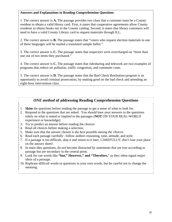#### **Answers and Explanations to Reading Comprehension Questions**

1. The correct answer is **A.** The passage provides two clues that a customer must be a County resident to obtain a valid library card. First, it states that cooperative agreements allow County residents to obtain books not in the County catalog. Second, it states that library customers will need to have a valid County Library card to request materials through ILL.

2. The correct answer is **B.** The passage states that "voters who request election materials in one of these languages will be mailed a translated sample ballot."

3. The correct answer is **C.** The passage states that inspectors were overcharged on "more than one out of two items they purchased."

4. The correct answer is **C.** The passage states that ridesharing and telework are two examples of programs that reduce air pollution, traffic congestion, and commuter costs.

5. The correct answer is **D.** The passage states that the Bad Check Restitution program is an opportunity to avoid criminal prosecution, by making good on the bad check and attending an eight-hour intervention class.

## *ONE method* **of addressing Reading Comprehension Questions**

- 1. **Skim** the questions before reading the passage to get a sense of what to look for.
- 2. Respond to the questions that are asked. You should base your answers to the questions solely on what is stated or implied in the passages (**NOT** ON YOUR REAL-WORLD experience or knowledge).
- 3. Try to predict an answer before reading the choices
- 4. Read all choices before making a selection.
- 5. Make sure that the answer chosen is the *best possible among the choices*.
- 6. Read each passage carefully –follow authors reasoning, tone, attitude, and style.
- 7. If a passage is too difficult, skip it and return to it later, CAREFULLY; don't lose your place on the answer sheet!.
- 8. In main idea questions, do not become distracted by statements that are true according to passage but are secondary to the central point.
- 9. Look for cue words like **"but," However," and "Therefore,**" as they often signal *major ideas of a passage*.
- 10. Rephrase difficult words or questions in your own words, but be careful not to change the meaning.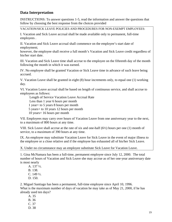## **Data Interpretation**

INSTRUCTIONS: To answer questions 1-5, read the information and answer the questions that follow by choosing the best response from the choices provided

VACATION/SICK LEAVE POLICIES AND PROCEDURES FOR NON-EXEMPT EMPLOYEES:

I. Vacation and Sick Leave accrual shall be made available only to permanent, full-time employees .

II. Vacation and Sick Leave accrual shall commence on the employee's start date of employment;

however, the employee shall receive a full month's Vacation and Sick Leave credit regardless of his/her start date.

III. Vacation and Sick Leave time shall accrue to the employee on the fifteenth day of the month following the month in which it was earned.

IV. No employee shall be granted Vacation or Sick Leave time in advance of such leave being accrued.

V. Vacation Leave shall be granted in eight (8) hour increments only, to equal one (1) working day.

VI. Vacation Leave accrual shall be based on length of continuous service, and shall accrue to employees as follows:

 Length of Service Vacation Leave Accrual Rate Less than 1 year 6 hours per month 1 year+ to 5 years 8 hours per month 5 years+ to 10 years 12 hours per month 10 years+ 16 hours per month

VII. Employees may carry over hours of Vacation Leave from one anniversary year to the next, to a maximum of 800 hours at any time.

VIII. Sick Leave shall accrue at the rate of six and one-half (6½) hours per one (1) month of service, to a maximum of 390 hours at any time.

IX. An employee may substitute Vacation Leave for Sick Leave in the event of major illness to the employee or a close relative and if the employee has exhausted all of his/her Sick Leave.

X. Under no circumstance may an employee substitute Sick Leave for Vacation Leave.

1. Gina McNamara has been a full-time, permanent employee since July 12, 2000. The total number of hours of Vacation and Sick Leave she may accrue as of her one-year anniversary date is most nearly

A. 137 ½. B. 138. C. 149 ½. D. 150.

2. Miguel Santiago has been a permanent, full-time employee since April 10, 1996. What is the maximum number of days of vacation he may take as of May 21, 2000, if he has already used ten days?

- A. 35
- B. 36
- C. 37
- D. 38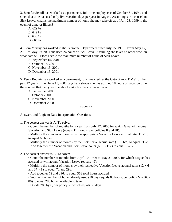3. Jennifer Scholl has worked as a permanent, full-time employee as of October 31, 1994, and since that time has used only five vacation days per year in August. Assuming she has used no Sick Leave, what is the maximum number of hours she may take off as of July 23, 1999 in the event of a major illness?

A. 629 ½ B. 642 ½ C.  $650\frac{1}{2}$ D. 666 ½

4. Flora Murray has worked in the Personnel Department since July 15, 1996. From May 17, 2001 to May 19, 2001 she used 24 hours of Sick Leave. Assuming she takes no other time, on what date will Flora accrue the maximum number of hours of Sick Leave?

A. September 15, 2001 B. October 15, 2001

- C. November 15, 2001
- D. December 15, 2001

5. Terry Bodwin has worked as a permanent, full-time clerk at the Gato Blanco DMV for the past 12 years. If her June 15, 2000 paycheck shows she has accrued 18 hours of vacation time, the soonest that Terry will be able to take ten days of vacation is

A. September 2000.

B. October 2000.

C. November 2000.

D. December 2000.

<<<\*>>>

Answers and Logic to Data Interpretation Questions

1. The correct answer is A. To solve:

• Count the number of months for a year from July 12, 2000 for which Gina will accrue Vacation and Sick Leave (equals 11 months, per policies II and III);

• Multiply the number of months by the appropriate Vacation Leave accrual rate  $(11 \times 6)$ to equal 66 hours;

- Multiply the number of months by the Sick Leave accrual rate  $(11 \times 6\frac{1}{2})$  to equal  $71\frac{1}{2}$ ;
- Add together the Vacation and Sick Leave hours  $(66 + 71\frac{1}{2})$  to equal 137<sup>1</sup>/<sub>2</sub>.
- 2. The correct answer is B. To solve:

• Count the number of months from April 10, 1996 to May 21, 2000 for which Miguel has accrued or will accrue Vacation Leave (equals 49);

• Multiply the number of months by their respective Vacation Leave accrual rates ( $12 \times 6$ ) and  $37 \times 8$ ) to equal 72 and 296;

• Add together 72 and 296, to equal 368 total hours accrued;

• Subtract the number of hours already used (10 days equals 80 hours, per policy V) (368 - 80) to equal 288 hours available to take;

• Divide 288 by 8, per policy V, which equals 36 days.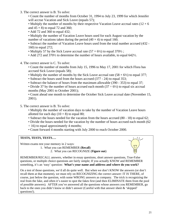3. The correct answer is B. To solve:

• Count the number of months from October 31, 1994 to July 23, 1999 for which Jennifer will accrue Vacation and Sick Leave (equals 57);

• Multiply the number of months by their respective Vacation Leave accrual rates ( $12 \times 6$ ) and  $45 \times 8$ ) to equal 72 and 360;

• Add 72 and 360 to equal 432;

• Multiply the number of Vacation Leave hours used for each August vacation by the number of vacations taken during the period  $(40 \times 4)$  to equal 160;

• Subtract the number of Vacation Leave hours used from the total number accrued (432 - 160) to equal 272;

- Multiply 57 by the Sick Leave accrual rate  $(57 \times 6\frac{1}{2})$  to equal 370<sup>1</sup>/<sub>2</sub>;
- Add 272 and 370½ to determine the number of hours available, to equal 642½.
- 4. The correct answer is C. To solve:

• Count the number of months from July 15, 1996 to May 17, 2001 for which Flora has accrued Sick Leave (equals 58);

- Multiply the number of months by the Sick Leave accrual rate  $(58 \times 6\frac{1}{2})$  to equal 377;
- Subtract the hours used from the hours accrued (377 24) to equal 353;
- Subtract the balance of hours from the maximum allowable (390 353) to equal 37;

• Divide 37 by the number of hours accrued each month  $(37 \div 6\frac{1}{2})$  to equal six accrual months (May 2001 to October 2001);

• Count ahead one month to determine the October Sick Leave accrual date (November 15, 2001).

- 5. The correct answer is B. To solve:
	- Multiply the number of vacation days to take by the number of Vacation Leave hours allotted for each day  $(10 \times 8)$  to equal 80;
	- Subtract the hours needed for the vacation from the hours accrued (80 18) to equal 62;
	- Divide the hours needed for the vacation by the number of hours accrued each month (62
	- $\div$  16) to equal approximately 4 months;
	- Count forward 4 months starting with July 2000 to reach October 2000.

#### **TESTS, TESTS, TESTS….**

Written exams test your memory in 2 ways:

1. What you can REMEMBER (**Recall**)

2. What you can RECOGNIZE (**Figure out**)



REMEMBER/RECALL answers, whether in essay questions, short answer questions, True-False questions, or multiple choice questions are fairly simple; If you actually KNOW and REMEMBER something, it's an 'easy' question: **What's your name and address and where do you work?** 

On a test of those questions, we'd all do quite well. But when we don't KNOW the answers (or don't recall them at that moment), we must rely on RECOGNIZING the correct answer: IT IS THERE, of course, just below the question, with some WRONG answers as company. The trick is recognizing the real from the fake, and often it's easier to spot the fakes first (and then ELIMINATE them from the pool of possible answers). AFTER you've answered all the questions whose answers you REMEMBER, go back to the ones you didn't know or didn't answer (Careful with that answer sheet & 'skipped' questions!).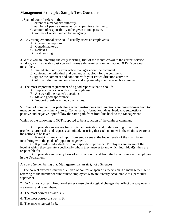## **Management Principles Sample Test Questions**

1. Span of control refers to the:

- A. extent of a manager's authority.
- B. number of people a manager can supervise effectively.
- C. amount of responsibility to be given to one person.
- D. volume of work handled by an agency.

2. Any strong emotional state could usually affect an employee's

- A. Current Perceptions
- B. Genetic make-up
- C. Reflexes
- D. Past learning

3. While you are directing the early morning, first of the month crowd to the correct service window, a citizen walks past you and makes a demeaning comment about DMV. You would most likely

- A. immediately notify your office manager about the comment.
- B. confront the individual and demand an apology for the comment.
- C. ignore the comment and continue with your crowd direction activities.
- D. ask the individual to come back and explain why she made such a comment.
- 4. The most important requirement of a good report is that it should:
	- A. Impress the reader with it's thoroughness
	- B. Answer all the reader's questions
	- C. Make a good appearance
	- D. Support pre-determined conclusions.

5. Chain of command: A path along which instructions and directions are passed down from top management to front-line workers. Conversely, information, ideas, feedback, suggestions, positive and negative input follow the same path from front line back to top Management.

Which of the following is NOT supposed to be a function of the chain of command:

 A. It provides an avenue for official authorization and understanding of various problems, proposals, and requests submitted, ensuring that each member in the chain is aware of the actions to be taken.

 B. It restricts unwanted input from employees at the lower levels of the chain from interfering with the goals of upper management..

 C. It provides individuals with one specific supervisor. Employees are aware of the level at which they operate, specifically whom they answer to and which individual(s) they are responsible for.

 D. It provides an orderly flow of information to and from the Director to every employee in the Department.

Answers (remembering that **Management is an Art**, not a Science).

1. The correct answer is number B. Span of control or span of supervision is a management term referring to the number of subordinate employees who are directly accountable to a particular supervisor.

2. "A" is most correct. Emotional states cause physiological changes that effect the way events are sensed and remembered.

3. The most correct answer is C.

4. The most correct answer is B.

5. The answer *should be* B.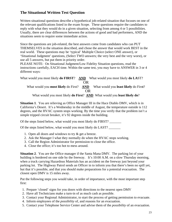## **The Situational Written Test Question**

Written situational questions describe a hypothetical job-related situation that focuses on one of the relevant qualifications listed in the exam Scope. These questions require the candidates to reply with what they would do in a given situation, selecting from among 4 or 5 possibilities. Usually, there are clear differences between the actions of good and bad performers, AND the situations seem to require some immediate action.

Since the questions are job-related, the best answers come from candidates who can PUT THEMSELVES in the situation described, and chose the answer that would work BEST in the real world. These questions may be 'typical' Multiple Choice (select ONE answer), or 'Situational Judgment' questions, (Select TWO answers; the very best and the very worst), or use all 5 answers, but put them in priority order.

PLEASE NOTE: On Situational Judgment/Low Fidelity Situation questions, read the instructions carefully, EACH time. Within the same test, you may have to ANSWER in 3 or 4 different ways:

| What would you most likely <b>do FIRST</b> ? AND |            | What would you most likely <b>do LAST</b> ?                                            |
|--------------------------------------------------|------------|----------------------------------------------------------------------------------------|
|                                                  | OR         |                                                                                        |
| What would you <b>most likely</b> do First?      | <b>AND</b> | What would you <b>least likely</b> do First?                                           |
|                                                  | OR         |                                                                                        |
|                                                  |            | What would you most likely <b>do First?</b> AND What would you <b>least likely do?</b> |

**Situation 1**. You are relieving as Office Manager III in the Hace Diablo DMV, which is in California's Desert. It's a Wednesday in the middle of August, the temperature outside is 112 degrees, and the HVAC system stops working. By the time you verify that the problem isn't a simple tripped circuit breaker, it's 92 degrees inside the building.

Of the steps listed below, what would you most likely do FIRST?

Of the steps listed below, what would you most likely do LAST?

- 1. Open all doors and windows to try & get a breeze.
- 2. Ask the Manager I what they normally do when the HVAC stops working.
- 3. Call the Region Administrator for permission to close the office.
- 4. Close the office; it's too hot to mess around.

**Situation 2**. You are the Office manager if the Santa Mana DMV. The parking lot of your building is bordered on one side by the freeway. It's 10:00 A.M. on a slow Thursday morning, when a truck carrying Hazardous Materials has an accident on the freeway just beyond your parking lot. The Highway Patrol sends an Officer in to inform you that there's been no spill yet, but that it's possible, and that you should make preparations for a potential evacuation. The closest open DMV is 15 miles away.

Put the following steps you would take, in order of importance, with the most important step first:

- 1. Prepare 'closed' signs for you doors with directions to the nearest open DMV
- 2. Have all Technicians make a turn-in of as much cash as possible.
- 3. Contact your Regional Administrator, to start the process of getting permission to evacuate.
- 4. Inform employees of the *possibility* of, and reasons for an evacuation.
- 5. Contact your Telephone Service Center and advise them of the *possibility* of an evacuation.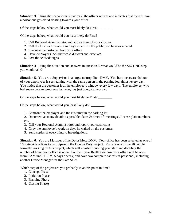**Situation 3.** Using the scenario in Situation 2, the officer returns and indicates that there is now a poisonous gas cloud floating towards your office.

Of the steps below, what would you most likely do First?

Of the steps below, what would you least likely do First?

- 1. Call Regional Administrator and advise them of your closure.
- 2. Call the local radio station so they can inform the public you have evacuated.
- 3. Evacuate the customer from your office
- 4. Have employees lock their cash drawers and evacuate.
- 5. Post the 'closed' signs.

**Situation 4**. Using the situation and answers in question 3, what would be the SECOND step you would take?

**Situation 5**. You are a Supervisor in a large, metropolitan DMV. You become aware that one of your employees is seen talking with the same person in the parking lot, almost every day. You notice that the customer is at the employee's window every few days. The employee, who had severe money problems last year, has just bought a new car.

Of the steps below, what would you most likely do First?

Of the steps below, what would you least likely do?

- 1. Confront the employee and the customer in the parking lot.
- 2. Document as many details as possible; dates & times of 'meetings', license plate numbers, etc.
- 3. Call your Regional Administrator and report your suspicions
- 4. Copy the employee's work on days he waited on the customer.
- 5. Send copies of everything to Investigations.

**Situation 6.** You are Manager of the Dolor Mesa DMV. Your office has been selected as one of 16 statewide offices to participate in the Double Duty Project. You are one of the 20 people formally working on this project, which will involve doubling your staff and doubling the number of hours your office is open. For the 5 year RealID window your office will be open from 6 AM until 11 PM, 5 days a week, and have two complete cadre's of personnel, including another Office Manager for the Late Shift.

Which step of the project are you probably in at this point in time?

- 1. Concept Phase
- 2. Initiation Phase
- 3. Planning Phase
- 4. Closing Phase)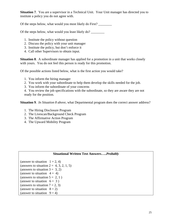**Situation 7.** You are a supervisor in a Technical Unit. Your Unit manager has directed you to institute a policy you do not agree with.

Of the steps below, what would you most likely do First? \_\_\_\_\_\_\_\_\_\_\_\_\_\_\_\_\_\_\_\_\_\_\_\_

Of the steps below, what would you least likely do?

- 1. Institute the policy without question
- 2. Discuss the policy with your unit manager
- 3. Institute the policy, but don't enforce it
- 4. Call other Supervisors to obtain input.

**Situation 8.** A subordinate manager has applied for a promotion in a unit that works closely with yours. You do not feel this person is ready for this promotion.

Of the possible actions listed below, what is the first action you would take?

- 1. You inform the hiring manager
- 2. You work with your subordinate to help them develop the skills needed for the job.
- 3. You inform the subordinate of your concerns

4. You review the job specifications with the subordinate, so they are aware they are not ready for the position.

**Situation 9**. *In Situation 8 above*, what Departmental program does the correct answer address?

- 1. The Hiring Disclosure Program
- 2. The Livescan/Background Check Program
- 3. The Affirmative Action Program
- 4. The Upward Mobility Program

## **Situational Written Test Answers…..***Probably*

(answer to situation  $1 = 2, 4$ ) (answers to situation  $2 = 4, 3, 2, 1, 5$ ) (answers to situation  $3 = 3, 2$ ) (answer to situation  $4 = 4$ ) (answers to situation  $5 = 2, 1$ ) (answer to situation  $6 = 3$ ) (answers to situation  $7 = 2, 3$ ) (answer to situation  $8 = 2$ ) (answer to situation  $9 = 4$ )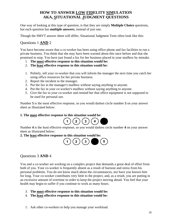# **HOW TO ANSWER LOW FIDELITY SIMULATION AKA, SITUATIONAL JUDGMENT QUESTIONS**

One way of looking at this type of question, is that they are simply **Multiple Choice** questions, but each question has **multiple answers**, instead of just one.

Though the SMVT answer sheet will differ, Situational Judgment Tests often look like this:

# Questions 1 **AND** 2

You have become aware that a co-worker has been using office phone and fax facilities to run a private business. You think that she may have been warned about this once before and that she promised to stop. You have just found a fax for her business placed in your mailbox by mistake.

- 1. **The most effective response to this situation would be:**
- 2. **The least effective response to this situation would be:**
- 1. Politely, tell your co-worker that you will inform the manager the next time you catch her using office resources for her private business.
- 2. Report the incident to the manager.
- 3. Put the fax in the manager's mailbox without saying anything to anyone.
- 4. Put the fax in your co-worker's mailbox without saying anything to anyone.
- 5. Give the fax to your co-worker and remind her that office equipment is not supposed to be used for personal use.

Number **5** is the most effective response, so you would darken circle number **5** on your answer sheet as illustrated below:

#### **1. The most effective response to this situation would be:**



Number **4** is the least effective response, so you would darken circle number **4** on your answer sheet as illustrated below:

#### **2. The least effective response to this situation would be:**



## Questions 3 **AND** 4

You and a co-worker are working on a complex project that demands a great deal of effort from both of you. Your co-worker is frequently absent as a result of burnout and stress from his personal problems. You do not know much about the circumstances, nor have you known him for long. Your co-worker contributes very little to the project, and, as a result, you are putting in an excessive amount of overtime in order to keep the project moving ahead. You feel that your health may begin to suffer if you continue to work as many hours.

- 3. **The most effective response to this situation would be:**
- 4. **The least effective response to this situation would be:**
- 1. Ask other co-workers to help you manage your workload.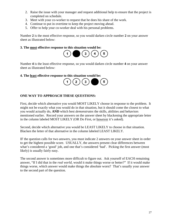- 2. Raise the issue with your manager and request additional help to ensure that the project is completed on schedule.
- 3. Meet with your co-worker to request that he does his share of the work.
- 4. Continue to put in overtime to keep the project moving ahead.
- 5. Offer to help your co-worker deal with his personal problems.

Number **2** is the most effective response, so you would darken circle number **2** on your answer sheet as illustrated below:

#### **3. The most effective response to this situation would be:**



Number **4** is the least effective response, so you would darken circle number **4** on your answer sheet as illustrated below:

**4. The least effective response to this situation would be:**



## **ONE WAY TO APPROACH THESE QUESTIONS:**

First, decide which alternative you would MOST LIKELY choose in response to the problem. It might not be exactly what you would do in that situation, but it should come the closest to what you would actually do, **AND** which best *demonstrates* the skills, abilities and behaviors mentioned earlier. Record your answers on the answer sheet by blackening the appropriate letter in the column labeled MOST LIKELY (OR Do First, or however it's asked).

Second, decide which alternative you would be LEAST LIKELY to choose in that situation. Blacken the letter of that alternative in the column labeled LEAST LIKELY.

IF the question calls for two answers, you must indicate 2 answers on your answer sheet in order to get the highest possible score. USUALLY, the answers present clear differences between what's considered a 'good' job, and one that's considered 'bad'. Picking the first answer (most likely) is usually fairly easy.

The second answer is sometimes more difficult to figure out. Ask yourself of EACH remaining answer, "If I did that in the *real world*, would it make things worse or better?" If it would make things worse, which answer would make things the absolute worst? That's usually your answer to the second part of the question.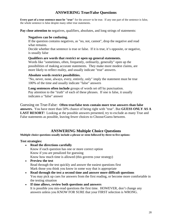## **ANSWERING True/False Questions**

**Every part of a true sentence must be "true"** for the *answer* to be true. If any one part of the sentence is false, the whole sentence is false despite many other true statements.

Pay close attention to negatives, qualifiers, absolutes, and long strings of statements:

#### **Negatives can be confusing.**

If the question contains negatives, as "no, not, cannot", drop the negative and read what remains.

Decide whether that sentence is true or false. If it is true, it's opposite, or negative, is usually false

#### **Qualifiers are words that restrict or open up general statements.**

Words like "sometimes, often, frequently, ordinarily, generally" open up the possibilities of making accurate statements. They make more modest claims, are more likely to reflect reality, and usually indicate "true" answers.

#### **Absolute words restrict possibilities.**

"No, never, none, always, every, entirely, only" imply the statement must be true 100% of the time and usually indicate "false" answers

**Long sentences often include** groups of words set off by punctuation. Pay attention to the "truth" of each of these phrases. If one is false, it usually indicates a "false" answer

Guessing on True-False: **Often true/false tests contain more true answers than false answers.** You have more than 50% chance of being right with "true". But **GUESS ONLY AS A LAST RESORT!** Looking at the possible answers presented, try to exclude as many True and False statements as possible, leaving fewer choices to Choose/Guess between.

## **ANSWERING Multiple Choice Questions**

**Multiple choice questions usually include a phrase or stem followed by three to five options:**

#### **Test strategies:**

- **Read the directions carefully**  Know if each question has one or more correct option Know if you are penalized for guessing Know how much time is allowed (this governs your strategy)
- **Preview the test**  Read through the test quickly and answer the easiest questions first Mark those you think you know in some way that is appropriate
- **Read through the test a second time and answer more difficult questions**  You may pick up cues for answers from the first reading, or become more comfortable in the testing situation
- **If time allows, review both questions and answers**  It is possible you mis-read questions the first time. HOWEVER, don't change any answers unless you KNOW FOR SURE that your FIRST selection is WRONG.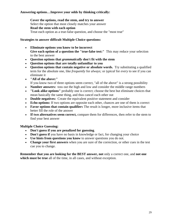## **Answering options…Improve your odds by thinking critically:**

**Cover the options, read the stem, and try to answer**  Select the option that most closely matches your answer **Read the stem with each option**  Treat each option as a true-false question, and choose the "most true"

#### **Strategies to answer difficult Multiple Choice questions:**

- **Eliminate options you know to be incorrect Give each option of a question the "true-false test:"** This may reduce your selection to the best answer
- **Question options that** *grammatically* **don't fit with the stem**
- **Question options that are totally unfamiliar to you**
- **Question options that contain negative or absolute words.** Try substituting a qualified term for the absolute one, like *frequently* for *always;* or *typical* for *every* to see if you can eliminate it
- **"All of the above:"** If you know two of three options seem correct, "all of the above" is a strong possibility
- **Number answers:** toss out the high and low and consider the middle range numbers
- **"Look alike options"** probably one is correct; choose the best but eliminate choices that mean basically the same thing, and thus cancel each other out
- **Double negatives:** Create the equivalent positive statement and consider
- Echo options: If two options are opposite each other, chances are one of them is correct
- **Favor options that contain qualifier**s The result is longer, more inclusive items that better fill the role of the answer
- **If two alternatives seem correct,** compare them for differences, then refer to the stem to find your best answer

#### **Multiple Choice Guessing:**

- **Don't guess if you are penalized for guessing**.
- **Don't guess if** you have no basis in knowledge or fact, for changing your choice
- **Use hints from questions you know** to answer questions you do not.
- **Change your first answers** when you are sure of the correction, or other cues in the test cue you to change.

**Remember that you are looking for the BEST answer, not** only a correct one, and **not one which must be true** all of the time, in all cases, and without exception.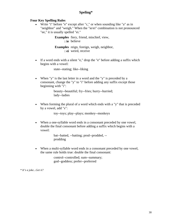## **Speling\***

#### **Four Key Spelling Rules**

 Write "i" before "e" except after "c," or when sounding like "a" as in "neighbor" and "weigh." When the "ie/ei" combination is not pronounced "ee," it is usually spelled "ei."

> **Examples** fiery, friend, mischief, view, **: ie** believe **Examples** reign, foreign, weigh, neighbor, **: ei** weird, receive

 If a word ends with a silent "e," drop the "e" before adding a suffix which begins with a vowel:

state--stating; like--liking

 When "y" is the last letter in a word and the "y" is preceded by a consonant, change the "y" to "i" before adding any suffix except those beginning with "i":

> beauty--beautiful; fry--fries; hurry--hurried; lady--ladies

 When forming the plural of a word which ends with a "y" that is preceded by a vowel, add "s":

toy--toys; play--plays; monkey--monkeys

 When a one-syllable word ends in a consonant preceded by one vowel, double the final consonant before adding a suffix which begins with a vowel:

> bat--batted, --batting; prod--prodded, - prodding

 When a multi-syllable word ends in a consonant preceded by one vowel, the same rule holds true: double the final consonant:

> control--controlled; sum--summary; god--goddess; prefer--preferred

```
* It's a joke...Get it?
```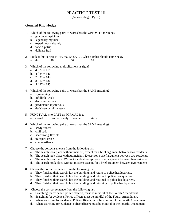# PRACTICE TEST III

(Answers begin Pg 39)

#### **General Knowledge**

- 1. Which of the following pairs of words has the OPPOSITE meaning?
	- a. guarded-suspicious
	- b. legendary-mythical
	- c. expeditious-leisurely
	- d. rancid-putrid
	- e. delicate-frail
- 2. Look at this series: 44, 44, 50, 50, 56, . . . What number should come next? a. 44 48 56 62
- 3. Which of the following multiplications is right?
	- a.  $4'$   $27 = 118$
	- b.  $4 \div 34 = 146$
	- c.  $7 \div 22 = 144$
	- d.  $8'$  17 = 136
	- e.  $5'$  27 = 145
- 4. Which of the following pairs of words has the SAME meaning?
	- a. sly-cunning
	- b. infallible-weak
	- c. decisive-hesitant
	- d. predictable-mysterious
	- e. derisive-complimentary
- 5. PUNCTUAL is to LATE as FORMAL is to a. casual hostile lonely likeable stern
- 6. Which of the following pairs of words has the SAME meaning?
	- a. hardy-robust
	- b. civil-rude
	- c. headstrong-flexible
	- d. transpire-cease
	- e. clamor-silence
- 7. Choose the correct sentence from the following list**.**
	- a. The search took place without incident, except for a brief argument between two residents.
	- b. The search took place without incident. Except for a brief argument between two residents.
	- c. The search took place. Without incident except for a brief argument between two residents.
	- d. The search, took place without incident except, for a brief argument between two residents.
- 8. Choose the correct sentence from the following list**.** 
	- a. They finished their search, left the building, and return to police headquarters.
	- b. They finished their search, left the building, and returns to police headquarters.
	- c. They finished their search, left the building, and returned to police headquarters.
	- d. They finished their search, left the building, and returning to police headquarters.
- 9. Choose the correct sentence from the following list.
	- a. Searching for evidence, police officers, must be mindful of the Fourth Amendment.
	- b. Searching for evidence. Police officers must be mindful of the Fourth Amendment.
	- c. When searching for evidence. Police officers, must be mindful of the Fourth Amendment.
	- d. When searching for evidence, police officers must be mindful of the Fourth Amendment.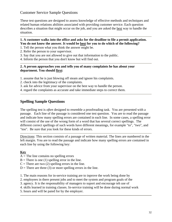## Customer Service Sample Questions

These test questions are designed to assess knowledge of effective methods and techniques and related human relations abilities associated with providing customer service. Each question describes a situation that might occur on the job, and you are asked the best way to handle the situation.

## **1. A customer walks into the office and asks for the deadline to file a permit application. You do not know the answer. It would be best for you to do which of the following?**

- 1. Tell the person what you think the answer might be.
- 2. Refer the person to your supervisor.
- 3. Say that you are not allowed to give out that information to the public.
- 4. Inform the person that you don't know but will find out.

#### **2. A person approaches you and tells you of many complaints he has about your department. You should first:**

- 1. assume that he is just blowing off steam and ignore his complaints.
- 2. check into the legitimacy of the complaints.
- 3. ask for advice from your supervisor on the best way to handle the person.
- 4. regard the complaints as accurate and take immediate steps to correct them.

## **Spelling Sample Questions**

The spelling test is *often* designed to resemble a proofreading task. You are presented with a passage. Each line of the passage is considered one test question. You are to read the passage and indicate how many spelling errors are contained in each line. In some cases, a spelling error will consist of the use of the wrong form of a word that has several correct spellings. The different correct spellings of such words have different meanings, for example "to", "two", and "too". Be sure that you look for these kinds of errors.

Directions: This section consists of a passage of written material. The lines are numbered in the left margin. You are to read the passage and indicate how many spelling errors are contained in each line by using the following key:

#### **Key**

- $A =$ The line contains no spelling errors
- $B =$ There is one (1) spelling error in the line.
- $C =$  There are two (2) spelling errors in the line.
- $D =$ There are three (3) or more spelling errors in the line.
- 1. The main reasons for in-service training are to inprove the work being done by
- 2. employees in there present jobs and to meet the system and program goals of the
- 3. agency. It is the responsability of managers to suport and encourage teh use of
- 4. skills learned in training classes. In-service training will be done during normal work
- 5. hours and will be paied for by the employer.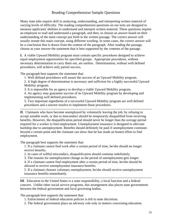## Reading Comprehension Sample Questions

Many state jobs require skill in analyzing, understanding, and interpreting written material of varying levels of difficulty. The reading comprehension questions on our tests are designed to measure applicants' abilities to understand and interpret written material. These questions require an employee to read and understand a paragraph, and then, to choose an answer based on their understanding of the main concept put forth in the written passage. The correct answer will usually restate this main concept, using different wording. In some cases, the correct answer will be a conclusion that is drawn from the content of the paragraph. After reading the passage, choose as your answer the statement that is best supported by the contents of the passage.

**I.** A viable Upward Mobility program must contain specific procedures designed to achieve equal employment opportunities for specified groups. Appropriate procedures, without necessary determination to carry them out, are useless. Determination, without well defined procedures, will achieve only partial success.

The paragraph best supports the statement that:

- 1. Well defined procedures will assure the success of an Upward Mobility program.
- 2. A high degree of determination is necessary and sufficient for a highly successful Upward Mobility program.
- 3. It is impossible for an agency to develop a viable Upward Mobility program.

4. An agency may guarantee success of its Upward Mobility program by developing and implementing well defined procedures.

5. Two important ingredients of a successful Upward Mobility program are well defined procedures and a sincere resolve to implement those procedures.

**II**. Claimants who have become unemployed by voluntarily leaving the job, by refusing to accept suitable work, or due to misconduct should be temporarily disqualified from receiving benefits. However, the disqualification period should never be longer than the average period required for a worker to find employment. Unemployment insurance is designed to alleviate hardship due to unemployment. Benefits should definitely be paid if unemployment continues beyond a certain point and the claimant can show that he has made an honest effort to find employment.

The paragraph best supports the statement that:

1. If a claimant cannot find work after a certain period of time, he/she should no longer receive benefits.

2. In cases of willful misconduct, disqualification should continue indefinitely.

3. The reasons for unemployment change as the period of unemployment gets longer.

4. If a claimant cannot find employment after a certain period of time, he/she should be allowed to receive unemployment insurance benefits.

5. If a claimant chooses voluntary unemployment, he/she should receive unemployment insurance benefits immediately.

**III**. Education in the United States is a state responsibility, a local function and a federal concern. Unlike other social service programs, this arrangement also places state governments between the federal government and local governing bodies.

The paragraph best supports the statement that:

- 1. Enforcement of federal education policies is left to state discretion.
- 2. The federal government plays an advisory role only in matters concerning education.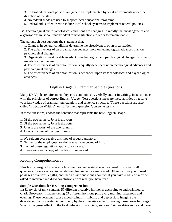3. Federal educational policies are generally implemented by local governments under the direction of the state.

- 4. No federal funds are used to support local educational programs.
- 5. Federal aid is often used to induce local school systems to implement federal policies.

**IV**. Technological and psychological conditions are changing so rapidly that most agencies and organizations must continually adapt to new situations in order to remain viable.

The paragraph best supports the statement that:

1. Changes in general conditions determine the effectiveness of an organization.

2. The effectiveness of an organization depends more on technological advances than on psychological changes.

3. Organizations must be able to adapt to technological and psychological changes in order to maintain effectiveness.

4. The effectiveness of an organization is equally dependent upon technological advances and psychological changes.

5. The effectiveness of an organization is dependent upon its technological and psychological advances.

English Usage & Grammar Sample Questions

Many DMV jobs require an employee to communicate, verbally and/or in writing, in accordance with the principles of correct English Usage. Test questions measure these abilities by testing your knowledge of grammar, punctuation, and sentence structure. (These questions are also called "Effective Writing", or "Effective Expression", on some tests.)

In these questions, choose the sentence that represents the best English Usage.

- 1. Of the two runners, John is the worst.
- 2. Of the two runners, John is the better.
- 3. John is the worst of the two runners.
- 4. John is the best of the two runners.
- 1. We seldom ever receive this type of request anymore.
- 2. Neither of the employees are doing what is expected of him.
- 3. Each of these regulations apply to your case.
- 4. I have enclosed a copy of the file you requested.

## Reading Comprehension II

This test is designed to measure how well you understand what you read. It contains 20 questions. Some ask you to decide how two sentences are related. Others require you to read passages of various lengths, and then answer questions about what you have read. You may be asked to interpret and draw conclusions from what you have read.

#### **Sample Questions for Reading Comprehension**

1.) Every sip of milk contains 59 different bioactive hormones according to endocrinologist Clark Grosvenor. Imagine taking 59 different hormone pills every morning, afternoon and evening. These hormones cause mood swings, irritability and depression. Imagine the devastation that is created in your body by the cumulative effect of taking those powerful drugs? What is the gross effect on the total behavior of a society, so dosed? As we drink more and more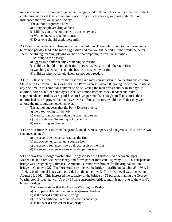milk and increase the amount of genetically engineered milk and cheese and ice cream products containing increased levels of naturally occurring milk hormones, we most certainly have influenced the way we act as a society.

The author's argument is that:

- a) Many people are drug addicts
- b) Milk has an effect on the way our society acts
- c) Women need to take hormones
- d) Everyone should drink more milk

2.) Television can have a detrimental effect on children. Those who watch two or more hours of television per day tend to be more aggressive and overweight. A child's time would be better spent socializing, reading, playing outside or participating in creative activities.

According to the passage:

- a) aggressive children enjoy watching television
- b) children should divide their time between television and other activities
- c) watching television is not the best way to spend your time
- d) children who watch television are not good readers

3.) In 1860 riders were hired for the first overland mail courier service, connecting the eastern States with California. Thus was born The Pony Express. About 80 young riders were in use at any one time in this ambitious enterprise of delivering the mail cross-country in 10 days. In addition, some 400 other employees included station keepers, stock tenders and route superintendents. Riders were paid \$100 to \$125 per month. Though small in stature, their untarnished record proved them to have hearts of lions. History would record that they were among the most durable horsemen ever.

The author suggests that the Pony Express riders:

- a) were too young for the job
- b) were paid much more than the other employees
- c) did not deliver the mail quickly enough
- d) were strong and brave

4.) The rain froze as it touched the ground. Roads were slippery and dangerous. How are the two sentences related?

- a) the second sentence contradicts the first
- b) the two sentences set up a comparison
- c) the second sentence shows a direct result of the first
- d) the second sentence states what dangerous means

5.) The two-level George Washington Bridge crosses the Hudson River between upper Manhattan and Fort Lee, New Jersey and forms part of Interstate Highway I-95. This suspension bridge was designed by Othmar H. Ammann. Ground was broken for the original six-lane bridge in October 1927. The Port Authority opened the bridge to traffic on October 25, 1931. In 1946, two additional lanes were provided on the upper level. The lower level was opened on August 29, 1962. This increased the capacity of the bridge by 75 percent, making the George Washington Bridge the world's only 14-lane suspension bridge, and it is now one of the world's busiest bridges.

The passage states that the George Washington Bridge:

- a) is 75 percent larger than most suspension bridges
- b) is the world's only six lane bridge
- c) needed additional lanes to increase its capacity
- d) is the world's busiest tri-level bridge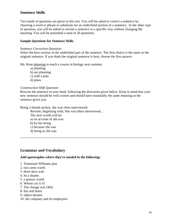## **Sentence Skills**

Two kinds of questions are given in this test. You will be asked to correct a sentence by choosing a word or phrase to substitute for an underlined portion of a sentence. In the other type of question, you will be asked to rewrite a sentence in a specific way without changing the meaning. You will be presented a total of 20 questions.

#### **Sample Questions for Sentence Skills**

#### *Sentence Correction Question:*

Select the best version of the underlined part of the sentence. The first choice is the same as the original sentence. If you think the original sentence is best, choose the first answer.

Ms. Rose planning to teach a course in biology next summer.

a) planning

- b) are planning c) with a plan
- 

## d) plans

#### *Construction Shift Question:*

Rewrite the sentence in your head, following the directions given below. Keep in mind that your new sentence should be well written and should have essentially the same meaning as the sentence given you.

Being a female jockey, she was often interviewed.

Rewrite, beginning with; She was often interviewed... The next words will be: a) on account of she was b) by her being c) because she was d) being as she was

## **Grammar and Vocabulary**

#### **Add apostrophes where they're needed in the following:**

- 1. Tennessee Williams play
- 2. two cents worth
- 3. three days wait
- 4. Its a shame.
- 5. a pennys worth
- 6. Whose car is it?
- 7. The change was OKd.
- 8. dos and donts
- 9. others dreams
- 10. the company and its employees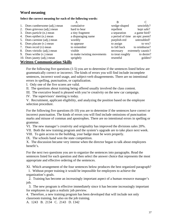## **Word meaning**

#### **Select the correct meaning for each of the following words:**

|                                                                                                                                                                                                                                                                                                  | A                          | в                |                    |
|--------------------------------------------------------------------------------------------------------------------------------------------------------------------------------------------------------------------------------------------------------------------------------------------------|----------------------------|------------------|--------------------|
| 1. Does cumbersome (adj.) mean                                                                                                                                                                                                                                                                   | cumulative                 | wedge-shaped     | unwieldy?          |
| 2. Does grievous (adj.) mean                                                                                                                                                                                                                                                                     | hard to bear               | repellent        | kept safe?         |
| 3. Does particle (n.) mean                                                                                                                                                                                                                                                                       | a tiny fragment            | a separation     | a game bird?       |
| 4. Does epithet (n.) mean                                                                                                                                                                                                                                                                        | a disparaging name         | a period of time | an epic poem?      |
| 5. Does carmine (adj.) mean                                                                                                                                                                                                                                                                      | wordily                    | purplish-red     | untroubled?        |
| 6. Does placate (v.) mean                                                                                                                                                                                                                                                                        | to appease                 | to assign        | to vex?            |
| 7. Does recoil (v) mean                                                                                                                                                                                                                                                                          | to remember                | to fall back     | to reimburse?      |
| 8. Does vitriolic (adj.) mean                                                                                                                                                                                                                                                                    | visible                    | necessary        | extremely caustic? |
| 9. Does writhe (v.) mean                                                                                                                                                                                                                                                                         | to make twisting movements | to treat roughly | to desire?         |
| 10. Does jaunty (adj.) mean                                                                                                                                                                                                                                                                      | sprightly                  | resentful        | golden?            |
| $\mathbf{W}$ and $\mathbf{W}$ and $\mathbf{W}$ and $\mathbf{W}$ and $\mathbf{W}$ and $\mathbf{W}$ and $\mathbf{W}$ and $\mathbf{W}$ and $\mathbf{W}$ and $\mathbf{W}$ and $\mathbf{W}$ and $\mathbf{W}$ and $\mathbf{W}$ and $\mathbf{W}$ and $\mathbf{W}$ and $\mathbf{W}$ and $\mathbf{W}$ and |                            |                  |                    |

## **Written Communication Skills**

For the following five questions (1-5) you are to determine if the sentences listed below are grammatically correct or incorrect. The kinds of errors you will find include incomplete sentences, incorrect word usage, and subject-verb disagreements. There are no intentional errors in spelling, punctuation, or capitalization.

I. Only one of the five scores are valid.

II. The questions about training being offered usually involved the class content.

III. The executive board is pleased with you're creativity on the new car campaign.

IV. The supervisors' meeting is today.

V. Recruitment, applicant eligibility, and analyzing the position based on the employee selection procedure.

For the following five questions (6-10) you are to determine if the sentences have correct or incorrect punctuation. The kinds of errors you will find include omissions of punctuation marks and misuse of commas and apostrophes. There are no intentional errors in spelling or grammar.

VI. The new manager's creativity and originality has improved the divisions sales 20%.

VII. Both the new training program and the system's upgrade are to take place next week.

VIII. To gain access to the building, your badge must be worn properly.

IX. The schools band won the state competition.

X. The discussion became very intense when the director began to talk about employees benefit's.

For the next two questions you are to organize the sentences into paragraphs. Read the sentences listed for each question and then select the answer choice that represents the most appropriate and effective ordering of the sentences.

XI. Which arrangement of the four sentences below produces the best organized paragraph? 1. Without proper training it would be impossible for employees to achieve the organization's goals.

 2. Training has become an increasingly important aspect of a human resource manager's job.

 3. The new program is effective immediately since it has become increasingly important for employees to gain a realistic job preview.

4. Therefore, a new training program has been developed that will include not only classroom training, but also on the job training.

A. 1243 B. 2134 C. 2143 D. 1342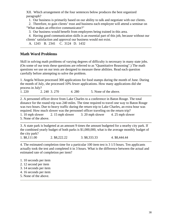XII. Which arrangement of the four sentences below produces the best organized paragraph?

1. Our business is primarily based on our ability to talk and negotiate with our clients.

 2. Therefore, to gain clients' trust and business each employee will attend a seminar on "What makes an effective communicator?"

3. Our business would benefit from employees being trained in this area.

 4. Having good communication skills is an essential part of this job, because without our clients' satisfaction and approval our business would not exist.

A. 1243 B. 2341 C. 3124 D. 1432

## **Math Word Problems**

Skill in solving math problems of varying degrees of difficulty is necessary in many state jobs. (On some of our tests these questions are referred to as "Quantitative Reasoning".) The math questions we use on our tests are designed to measure these abilities. Read each question carefully before attempting to solve the problem.

1. Angela Wilson processed 300 applications for food stamps during the month of June. During the month of July, she processed 10% fewer applications. How many applications did she process in July?

1. 220 2. 240 3. 270 4. 280 5. None of the above.

2. A personnel officer drove from Lake Charles to a conference in Baton Rouge. The total distance for the round trip was 240 miles. The time required to travel one way to Baton Rouge was two hours. Due to heavy traffic during the return trip to Lake Charles, an extra hour was required. How much slower was the personnel officer traveling on the return trip? 1. 10 mph slower 2. 15 mph slower 3. 20 mph slower 4. 25 mph slower

5. None of the above.

3. A state park is budgeted at an amount 9 times the amount budgeted for a nearby city park. If the combined yearly budget of both parks is \$1,000,000, what is the average monthly budget of the city park?

1. \$8,111.00 2. \$8,222.22 3. \$8,333.33 4. \$8,444.44

4. The estimated completion time for a particular 100 item test is 3 1/3 hours. Ten applicants actually took the test and completed it in 3 hours. What is the difference between the actual and estimated rate of completion per item?

1. 10 seconds per item

- 2. 12 second per item
- 3. 14 seconds per item
- 4. 16 seconds per item
- 5. None of the above.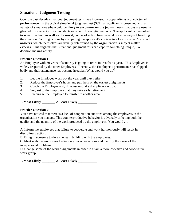## **Situational Judgment Testing**

Over the past decade situational judgment tests have increased in popularity as a **predictor of performance**. In the typical situational judgment test (SJT), an applicant is presented with a variety of situations s/he would be **likely to encounter on the job** — these situations are usually gleaned from recent critical incidents or other job analytic methods. The applicant is then asked to **select the best, as well as the worst**, course of action from several possible ways of handling the situation. Scoring is done by comparing the applicant's choices to a key of correct/incorrect **answers**, which themselves are usually determined by the **organization's** subject matter **experts**. This suggests that situational judgment tests can capture something unique, like decision making ability.

#### **Practice Question 1:**

An Employee with 30 years of seniority is going to retire in less than a year. This Employee is widely respected by the other Employees. Recently, the Employee's performance has slipped badly and their attendance has become irregular. What would you do?

- 1. Let the Employee work out the year until they retire.
- 2. Reduce the Employee's hours and put them on the easiest assignments.
- 3. Coach the Employee and, if necessary, take disciplinary action.
- 4. Suggest to the Employee that they take early retirement.
- 5. Encourage the Employee to transfer to another area.

**1. Most Likely \_\_\_\_\_\_\_\_ 2. Least Likely \_\_\_\_\_\_\_\_\_\_\_**

## **Practice Question 2:**

You have noticed that there is a lack of cooperation and trust among the employees in the organization you manage. This counterproductive behavior is adversely affecting both the quality and the quantity of the work produced by the employees. You would . . .

A. Inform the employees that failure to cooperate and work harmoniously will result in disciplinary action.

B. Bring in someone to do some team building with the employees.

C. Meet with the employees to discuss your observations and identify the cause of the interpersonal problems.

D. Change some of the work assignments in order to attain a more cohesive and cooperative work group.

**1. Most Likely \_\_\_\_\_\_\_\_ 2. Least Likely \_\_\_\_\_\_\_\_\_\_\_**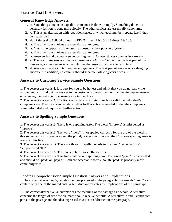## **Practice Test III Answers**

## **General Knowledge Answers**

- 1. **c**. Something done in an expeditious manner is done promptly. Something done in a leisurely fashion is done more slowly. The other choices are essentially synonyms.
- 2. **c**. This is an alternation with repetition series, in which each number repeats itself, then increases by 6.
- 3. **d.** 27 times 4 is 108. 34 times 4 is 136. 22 times 7 is 154. 27 times 5 is 135.
- 4. **a.** The other four choices are essentially antonyms.
- 5. **a.** *Late* is the opposite of *punctual,* as *casual* is the opposite of *formal.*
- 6. **a.** The other four choices are essentially antonyms.
- 7. **a.** Answers **b** and **c** contain sentence fragments. Answer **d** uses commas incorrectly.
- 8. **c.** The word *returned* is in the past tense, as are *finished* and *left* in the first part of the sentence, so this sentence is the only one that uses proper parallel structure.
- 9. **d.** Answers **b** and **c** contain sentence fragments. The first part of answer **a** is a dangling modifier; in addition, no comma should separate *police officers* from *must.*

## **Answers to Customer Service Sample Questions**

1. The correct answer is **4**. It is best for you to be honest and admit that you do not know the answer and will find out the answer to the customer's question rather than making up an answer or referring the customer to someone else in the office.

2. The correct answer is **2**. The first step to take is to determine how valid the individual's complaints are. Then, you can decide whether further action is needed or that the complaints were unfounded and require no further action.

## **Answers to Spelling Sample Questions**

1. The correct answer is **B**. There is one spelling error. The word "improve" is misspelled as "inprove".

2. The correct answer is **B**. The word "there" is not spelled correctly for the use of the word in this sentence. In this case, we need the plural, possessive pronoun "their", so one spelling error is found in this line.

3. The correct answer is **D**. There are three misspelled words in this line: "responsibility", "support" and "the".

4. The correct answer is **A**. This line contains no spelling errors.

5. The correct answer is **B**. This line contains one spelling error. The word "paied" is misspelled and should be "paid" or "payed". Both are acceptable forms though "paid" is probably more commonly used.

## Reading Comprehension Sample Question Answers and Explanations

I. The correct alternative, 5, restates the idea presented in the paragraph. Statements 1 and 2 each contain only one of the ingredients. Alternative 4 overstates the implications of the paragraph.

II. The correct alternative, 4, summarizes the meaning of the passage as a whole. Alternative 1 concerns the length of time the claimant should receive benefits. Alternatives 2 and 5 contradict parts of the passage and the idea expressed in 3 is not addressed in the paragraph.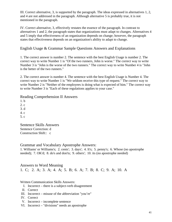III. Correct alternative, 3, is supported by the paragraph. The ideas expressed in alternatives 1, 2, and 4 are not addressed in the paragraph. Although alternative 5 is probably true, it is not mentioned in the paragraph.

IV. Correct alternative, 3, effectively restates the essence of the paragraph. In contrast to alternatives 1 and 2, the paragraph states that organizations must adapt to changes. Alternatives 4 and 5 imply that effectiveness of an organization depends on change; however, the paragraph states that effectiveness depends on an organization's ability to adapt to change.

## English Usage & Grammar Sample Questions Answers and Explanations

1. The correct answer is number 2. The sentence with the best English Usage is number 2. The correct way to write Number 1 is "Of the two runners, John is worse." The correct way to write Number 3 is "John is the worse of the two runners." The correct way to write Number 4 is "John is the better of the two runners."

2. The correct answer is number 4. The sentence with the best English Usage is Number 4. The correct way to write Number 1 is "We seldom receive this type of request." The correct way to write Number 2 is "Neither of the employees is doing what is expected of him." The correct way to write Number 3 is "Each of these regulations applies to your case."

## Reading Comprehension II Answers

1. b 2. c 3. d 4. c 5. c

Sentence Skills Answers Sentence Correction: d Construction Shift:: c

Grammar and Vocabulary Apostrophe Answers:

1. Williams' or Williams's; 2. cents'; 3. days'; 4. It's; 5. penny's; 6. Whose (no apostrophe needed); 7. OK'd; 8. do's and don'ts; 9. others'; 10. its (no apostrophe needed)

## Answers to Word Meaning

1. C; 2. A; 3. A; 4. A; 5. B; 6. A; 7. B; 8. C; 9. A; 10. A

Written Communication Skills Answers:

- I. Incorrect there is a subject-verb disagreement
- II. Correct
- III. Incorrect misuse of the abbreviation "you're"
- IV. Correct
- V. Incorrect incomplete sentence
- VI. Incorrect "divisions" needs an apostrophe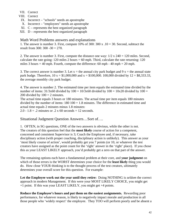#### VII. Correct

- VIII. Correct
- IX. Incorrect "schools" needs an apostrophe
- X. Incorrect "employees" needs an apostrophe
- XI. C represents the best organized paragraph
- XII. D represents the best organized paragraph

## Math Word Problems answers and explanations

1. The answer is number 3. First, compute  $10\%$  of  $300: 300 \times 10 = 30$ . Second, subtract the result from 300:  $300 - 30 = 270$ .

2. The answer is number 3. First, compute the distance one way:  $1/2 \times 240 = 120$  miles. Second, calculate the rate going:  $120$  miles 2 hours =  $60$  mph. Third, calculate the rate returning:  $120$ miles 3 hours = 40 mph. Fourth, compute the difference: 60 mph - 40 mph = 20 mph.

3. The correct answer is number 3. Let  $x =$  the annual city park budget and 9  $x =$  the annual state park budge. Therefore,  $10 x = $1,000,000$  and  $x = $100,000$ . 100,000 divided by  $12 = $8,333.33$ , the average monthly city park budget.

4. The answer is number 2. The estimated time per item equals the estimated time divided by the number of items:  $31/3x60$  divided by  $100 = 10/3x60$  divided by  $100 = 10x20$  divided by  $100 =$ 200 divided by  $100 = 2$  minutes.

The actual time equals 3 hours or 180 minutes. The actual time per item equals 180 minutes divided by the number of items:  $180\ 100 = 1.8$  minutes. The difference in estimated time and actual time equals 2 minutes minus 1.8 minutes:

2.0 - 1.8 = .2 minutes or .2 x 60 seconds = 12 seconds.

Situational Judgment Question Answers…Sort of….

1. OFTEN, in SG questions, ONE of the two answers is obvious, while the other is not. The creators of this question feel that the **most likely** course of action for a competent, concerned and consistent Supervisor is 3; Coach the Employee and, if necessary, take disciplinary action (with proper coaching, disciplinary action is unlikely). This answer as your 'most likely course of action', would probably get you 7 points (or 10, or whatever the test creators have assigned as the point count for the 'right' answer in the 'right' place). If you chose this as your LEAST LIKELY approach, you'd probably get a zero on that part of the answer.

The remaining options each have a fundamental problem at their core, and **your judgment** on which of those errors is the WORST determines your choice for the **least likely** thing you would do. How close YOUR thinking is to the thought process of the test creators, ultimately determines your overall score for this question. For example:

**Let the Employee work out the year until they retire:** Doing NOTHING is *seldom* the correct approach in modern Management. If this were your MOST LIKELY CHOICE, you might get +1 point. If this was your LEAST LIKELY, you might get +4 points.

**Reduce the Employee's hours and put them on the easiest assignments.** Rewarding poor performance, for whatever reason, is likely to negatively impact morale and production in all those people who 'widely respect' the employee. They TOO will perform poorly and be absent a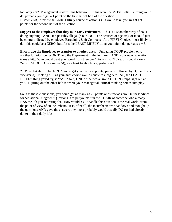lot; Why not? Management rewards this behavior…If this were the MOST LIKELY thing you'd do, perhaps you'd get a 1 point on the first half of half of the question. HOWEVER, if this is the **LEAST likely** course of action **YOU** would take, you might get +5 points for the second half of the question.

**Suggest to the Employee that they take early retirement.** This is just another way of NOT doing anything. AND, it's possibly illegal (You COULD be accused of ageism), or it could just be contra-indicated by employee Bargaining Unit Contracts. As a FIRST Choice, 'most likely to do', this could be a ZERO, but if it's the LEAST LIKELY thing you might do, perhaps  $a + 6$ .

**Encourage the Employee to transfer to another area.** Unloading YOUR problem onto another Unit/Office, WON'T help the Department in the long run. AND, your own reputation takes a hit…Who would trust your word from then one? As a First Choice, this could earn a Zero (it SHOULD be a minus 5!); as a least likely choice, perhaps  $a +6$ .

2. **Most Likely**; Probably "C" would get you the most points, perhaps followed by D, then B (or vice-versa). Picking "A" as your first choice would equate to a big zero. SO, the LEAST LIKELY thing you'd try, is "A". Again, ONE of the two answers OFTEN jumps right out at you. Figuring out the other half is where your Managerial, critical thinking comes into play.

So. On these 2 questions, you could get as many as 25 points or as few as zero. Out best advice for Situational Judgment Questions is to put yourself in the CHAIR of someone who already HAS the job you're testing for. How would YOU handle this situation is the real world, from the point of view of an incumbent? It is, after all, the incumbents who sat down and thought up the questions AND gave the answers they most probably would actually DO (or had already done) in their daily jobs.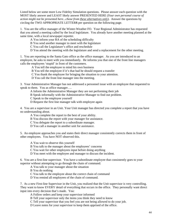Listed below are some more Low Fidelity Simulation questions. Please answer each question with the MOST likely answer and LEAST likely answer PRESENTED HERE (*Your own personal course of action might not be presented here...chose from these alternatives only*). Answer the questions by circling the TWO APPROPRIATE LETTER**S** per question on the following page.

1. You are the office manager of the Winter-Weather FO. Your Regional Administrator has requested that you attend a meeting called by the local legislature. You already have another meeting planned at the same time, with a local newspaper reporter.

A You inform your RA of the scheduling difficulty

B You send another manager to meet with the legislature

C You call the Legislature's office and reschedule

D You attend the meeting with the legislature and send a replacement for the other meeting.

1. You are reporting to the Santa Gato office as the office manager. As you are introduced to an employee, he asks to meet with you immediately. He informs you that one of the front line managers calls the employees 'stupid' in front of the customers.

A You tell the employee to mind his own business

B You tell the employee if it's that bad he should request a transfer

C You thank the employee for bringing the situation to your attention.

D You call the front line manager into the meeting.

3. Your Administrative Manager has not addressed a personnel issue with an employee that requested to speak to them. You as office manager....

A Inform the Administrative Manager they are not performing their job

B Speak informally with the Administrative Manager to find out problem.

C Speak to the employee yourself

D Request the first line manager talk with employee again

4. You are a supervisor in an Unit. Your Unit manager has directed you complete a report that you have no understanding about.

A You complete the report to the best of your ability.

B You discuss the report with your manager for assistance.

C You delegate the report to a subordinate manager.

D You call a manager in another unit for assistance.

5. An employee approaches you and states their direct manager consistently corrects them in front of other employees. You have NOT observed this.

A You wait to observe this yourself

B You talk to the manager about the employees' concerns

C You wait for other employees input before doing anything

D You meet with the employee and manager to discuss the incident.

6. You are a first-line supervisor. You have a subordinate employee that consistently goes to your superior without attempting to go through the chain of command.

A You talk to your manager about the situation

B You do nothing

C You talk to the employee about the correct chain of command

D You remind all employees of the chain of command.

7. As a new First-line Supervisor in the Unit, you realized that the Unit supervisor is very controlling. They want to know EVERY detail of everything that occurs in the office. They personally want direct input into every decision that's made. You:

A Follow orders and keep your supervisor informed

B Tell your supervisor only the items you think they need to know

C Tell your supervisor that you feel you are not being allowed to do your job.

D Leave notes for your supervisor to keep them apprised of the office.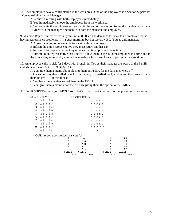8. Two employees have a confrontation in the work area. One of the employees is a Section Supervisor. You as Administrative Manager

A Request a meeting with both employees immediately

B You immediately remove the employees from the work area

C You separate the employees and wait until the end of the day to discuss the incident with them.

D Meet with the manager first then with both the manager and employee.

9. A union Representative arrives at your unit at 8:00 am and demands to speak to an employee that is having performance problems. It's a busy morning, but not too crowded. You as unit manager...

A Allow the union representative to speak with the employee

B Inform the union representative they must return another day

C Inform Union representative they must wait until employees break time

D Inform union representative that you will allow them to speak to the employee this time, but in the future they must notify you before meeting with an employee in your unit on state time.

10. An employee calls in sick for 5 days with bronchitis. You as their manager are aware of the Family and Medical Leave Act of 1993 (FMLA).

A You give them a memo about placing them on FMLA for the days they were off.

B On second day they called in sick, you mailed, by certified mail, a letter and the forms to place them on FMLA for this illness

C You have the attendance clerk handle the FMLA

D You give them a memo upon their return giving them the option to use FMLA

ANSWER SHEET (Circle your MOST **and** LEAST likely choice for each of the preceding questions)

| Most LIKELY                                      |       | <b>LEAST LIKELY</b> |           |              |        |
|--------------------------------------------------|-------|---------------------|-----------|--------------|--------|
| abcde<br>1.                                      |       |                     | abcde     |              |        |
| 2.<br>abcde                                      |       |                     | abcde     |              |        |
| 3.<br>abcde                                      |       |                     | abcde     |              |        |
| abcde<br>4.                                      |       |                     | abcde     |              |        |
| 5.<br>abcde                                      |       |                     | abcde     |              |        |
| 6. abcde                                         |       |                     | abcde     |              |        |
| 7. abcde                                         |       |                     | abcde     |              |        |
| 8. abcde                                         |       |                     | abcde     |              |        |
| 9.<br>abcde                                      |       |                     | a b c d e |              |        |
| 10. a b c d e                                    |       |                     | abcde     |              |        |
| OUR <i>agreed</i> upon correct answers $\odot$ : |       |                     |           |              |        |
|                                                  |       | 9.OI                |           | ੲ            | ٩S     |
|                                                  | ੲ     | P 6                 |           |              | ٩ŀ     |
|                                                  | P     | 9. S                |           | P            | ٩Έ     |
|                                                  | P     | ÞΖ                  |           | ٩            | ÞΈ     |
|                                                  | ٩     | ર પ્ર               |           |              | ੲ⊺⊺    |
|                                                  | лтамп | <b>TIKETA</b>       |           | линг         | FIKETA |
|                                                  |       | LEAST               | 1¤0M      | <b>LEAST</b> | ‡soM   |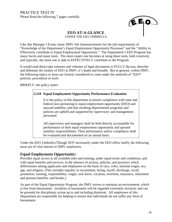

#### **EEO AT-A-GLANCE**  UNDER THE EEO UMBRELLA

Like this Manager I Exam, many DMV Job Announcements list the job requirements of "Knowledge of the Department's Equal Employment Opportunity Processes" and the "Ability to Effectively contribute to Equal Employment Opportunity." The Department's EEO Program has many facets and many tools. The more expert one becomes at using these tools, both creatively and typically, the more one is able to EFFECTIVELY contribute to the Program.

It would (and does) take volumes and volumes of legal documents to FULLY discuss, describe and delineate the totality of EEO at DMV; it's depth and breadth. But in general, within DMV, the following topics or areas are *loosely* considered to come under the umbrella of "EEO" policies, procedures or *tools*.

BRIEFLY, the policy states:

## **3.210 Equal Employment Opportunity Performance Evaluation**

It is the policy of this department to ensure compliance with state and federal laws pertaining to equal employment opportunity (EEO) and upward mobility, and that resulting departmental programs and policies are upheld and supported by supervisory and management personnel.

All supervisors and managers shall be held directly accountable for performance of their equal employment opportunity and upward mobility responsibilities. Their performance and/or compliance shall be evaluated and documented on an annual basis.

Under the EEO Umbrella (Though NOT necessarily under the EEO office itself), the following areas are of vital interest to DMV employees:

## **Equal Employment Opportunity:**

Provides equal access to all available jobs and training, under equal terms and conditions, and with equal benefits and services, in the absence of actions, policies, and practices which differentiate among applicants and employees on the basis of race, color, national origin, sex, age, and religion. (This includes equality in recruitment, hiring, layoff, discharge, recall, promotion, training, responsibility, wages, sick leave, vacation, overtime, insurance, retirement and pension benefits, and breaks.)

As part of the Equal Opportunity Program, the DMV strives to maintain an environment, which is free from harassment. Incidents of harassment will be regarded extremely seriously and can be grounds for disciplinary action up to and including dismissal. All employees of this Department are responsible for helping to ensure that individuals do not suffer any form of harassment.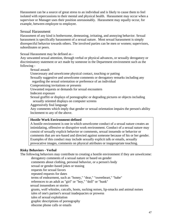Harassment can be a source of great stress to an individual and is likely to cause them to feel isolated with repercussions to their mental and physical health. Harassment may occur when a supervisor or Manager uses their position unreasonably. Harassment may equally occur, for example, between employee to employee.

## Sexual Harassment

Harassment of any kind is bothersome, demeaning, irritating, and annoying behavior. Sexual harassment is specifically harassment of a sexual nature. Most sexual harassment is simply disrespectful behavior towards others. The involved parties can be men or women; supervisors, subordinates or peers.

Sexual Harassment may be defined as -

Any unwanted sexual attention, through verbal or physical advances, or sexually derogatory or discriminatory statement or act made by someone in the Department environment such as the following -

Sexual assault

Unnecessary and unwelcome physical contact, touching or patting

 Sexually suggestive and unwelcome comments or derogatory remarks including any regarding the sexual orientation or preference of an individual

Compromising invitations or presents

Unwanted requests or demands for sexual encounters

Indecent exposure

 Sexual graffiti or displays of pornographic or degrading pictures or objects including sexually oriented displays on computer screens

Aggressively foul language

 Any comments which imply that gender or sexual orientation impairs the person's ability Incitement to any of the above.

#### **Hostile Work Environment-defined**

A hostile environment is one in which unwelcome conduct of a sexual nature creates an intimidating, offensive or disruptive work environment. Conduct of a sexual nature may consist of sexually explicit behavior or comments, sexual innuendo or behavior or comments that are sex-based and directed against someone because of his or her gender. Examples of this conduct may include sexually explicit talk or emails, sexually provocative images, comments on physical attributes or inappropriate touching.

#### **Risky Behaviors - Verbal**

The following behaviors may contribute to creating a hostile environment if they are unwelcome:

 derogatory comments of a sexual nature or based on gender comments about clothing, personal behavior, or a person's body

sexual or gender-based jokes or teasing

requests for sexual favors

repeated requests for dates

terms of endearment, such as "honey," "dear," "sweetheart," "babe"

references to an adult as "girl" or "boy," "doll" or "hunk"

sexual innuendoes or stories

grunts, wolf whistles, catcalls, hoots, sucking noises, lip-smacks and animal noises

tales of one's partner's sexual inadequacies or prowess

tales of sexual exploitation

graphic descriptions of pornography

obscene phone calls or emails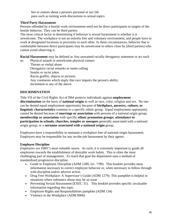lies or rumors about a person's personal or sex life puns such as turning work discussions to sexual topics

#### **Third Party Harassment**

Persons offended by a hostile work environment need not be direct participants or targets of the hostile behavior. They can be third parties.

The most critical factor in determining if behavior is sexual harassment is whether it is unwelcome. The workplace is not an entirely free and voluntary environment, and people have to work at designated locations in proximity to each other. In these circumstances, behavior that is comfortable between direct participants may be unwelcome to others close by (third parties) who cannot avoid observing it.

**Racial Harassment** may be defined as Any unwanted racially derogatory statement or act such

as: Physical assault or unwelcome physical contact Threats or verbal abuse Derogatory racial remarks or name-calling Insults or racist jokes Racist graffiti, objects or pictures Any comments which imply that race impairs the person's ability Incitement to any of the above.

## **DISCRIMINATION**

Title VII of the Civil Rights Act of l964 protects individuals against **employment discrimination** on the basis of **national origin** as well as race, color, religion and sex. No one can be denied equal employment opportunity because of **birthplace, ancestry, culture, or linguistic characteristics** common to a specific ethnic group. Equal employment opportunity cannot be denied because of **marriage or association** with persons of a national origin group; **membership or association** with specific **ethnic promotion groups**; **attendance or participation in schools, churches, temples or mosques** generally associated with a national origin group; or a **surname associated with a national origin** group.

Employers have a responsibility to maintain a workplace free of national origin harassment. Employers may be responsible for any on-the-job harassment by their agents

## **Employee Discipline**

*Employees are DMV's most valuable assets.* As such, it is extremely important to guide all employees towards the establishment of desirable work habits. This is often the most challenging part of management. To reach that goal the department uses a method of standardized progressive discipline.

- Guide to Employee Discipline (ADM 1289, rev. 7/99). This booklet provides most information necessary to correct employee behavior or, when necessary to follow through with discipline and/or adverse action.
- Drug Free Workplace: A Supervisor's Guide (ADM 1279). This pamphlet is helpful in situations where substance abuse may be an issue
- Preventing Sexual Harassment (EXEC 31). This booklet provides specific invaluable information regarding this topic.
- Employee Rights and Responsibilities pamphlet (ADM 134)
- Violence in the Workplace (ADM 8006)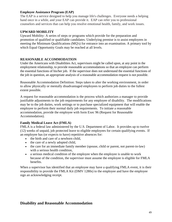#### **Employee Assistance Program (EAP)**

The EAP is a service designed to help you manage life's challenges. Everyone needs a helping hand once in a while, and your EAP can provide it. EAP can refer you to professional counselors and services that can help you resolve emotional health, family, and work issues.

#### **UPWARD MOBILITY**

Upward Mobility: A series of steps or programs which provide for the preparation and promotion of qualified or qualifiable candidates. Underlying premise is to assist employees in meeting the Minimum Qualifications (MQ's) for entrance into an examination. A primary tool by which Equal Opportunity Goals may be reached at all levels.

#### **REASONABLE ACCOMMODATION**

Under the Americans with Disabilities Act, supervisors might be called upon, at any point in the employment relationship, to provide reasonable accommodations so that an employee can perform the essential functions of his/her job. If the supervisor does not understand the essential functions of the job in question, an appropriate analysis of a reasonable accommodation request is not possible.

Reasonable Accommodation Definition: Steps taken to alter the working environment, in order to allow physically or mentally disadvantaged employees to perform job duties to the fullest extent possible.

A request for reasonable accommodation is the process which authorizes a manager to provide justifiable adjustments to the job requirements for any employee of disability. The modifications may be to the job duties, work settings or to purchase specialized equipment that will enable the employee to perform their normal daily job requirements. To initiate a reasonable accommodation, provide the employee with form Exec 96 (Request for Reasonable Accommodation).

#### **Family Medical Leave Act (FMLA)**

FMLA is a federal law administered by the U.S. Department of Labor. It provides up to twelve (12) weeks of unpaid, job protected leave to eligible employees for certain qualifying events. If an employee has (or expects to have) repetitive absences for:

- the birth and care of a newborn child,
- the care of a newly adopted child,
- the care for an immediate family member (spouse, child or parent, not parent-in-law) with a serious health condition.
- a serious medical condition of the employee when the employee is unable to work because of the condition, the supervisor must assume the employee is eligible for FMLA benefits.

When a supervisor has identified that an employee may have a qualifying FMLA event, it is their responsibility to provide the FMLA Kit (DMV 1280s) to the employee and have the employee sign an acknowledging receipt.

## **Disability and Reasonable Accommodation**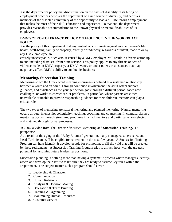It is the department's policy that discrimination on the basis of disability in its hiring or employment practices deprives the department of a rich source of diversity, and deprives members of the disabled community of the opportunity to lead a full life through employment that makes the most of their skill, education and experience. To that end, the department provides reasonable accommodation to the known physical or mental disabilities of its employees.

## **DMV'S ZERO-TOLERANCE POLICY ON VIOLENCE IN THE WORKPLACE POLICY**

It is the policy of this department that any violent acts or threats against another person's life, health, well-being, family or property, directly or indirectly, regardless of intent, made to or by any DMV employee are

entirely unacceptable. Such acts, if caused by a DMV employee, will result in adverse action up to and including dismissal from State service. This policy applies to any threats or acts of violence made on DMV property, at DMV events, or under other circumstances that may negatively affect DMV's ability to conduct its business.

## **Mentoring/ Succession Training**

Mentoring--from the Greek word meaning enduring--is defined as a sustained relationship between a youth and an adult. Through continued involvement, the adult offers support, guidance, and assistance as the younger person goes through a difficult period, faces new challenges, or works to correct earlier problems. In particular, where parents are either unavailable or unable to provide responsible guidance for their children, mentors can play a critical role.

The two types of mentoring are natural mentoring and planned mentoring. Natural mentoring occurs through friendship, collegiality, teaching, coaching, and counseling. In contrast, planned mentoring occurs through structured programs in which mentors and participants are selected and matched through formal processes.

In 2006, a video from The Director discussed Mentoring and **Succession Training.** To paraphrase,

As a result of the aging of the "Baby Boomer" generation, many managers, supervisors, and Lead Technicians will be eligible for retirement in the next few years. A Succession Training Program can help Identify & develop people for promotion, to fill the void that will be created by these retirements. A Succession Training Program tries to attract those with the greatest potential for assuming future leadership positions.

Succession planning is nothing more than having a systematic process where managers identify, assess and develop their staff to make sure they are ready to assume key roles within the Department. The subject matter such a program should cover:

- 1. Leadership & Character
- 2. Communication
- 3. Human Relations
- 4. Analysis & Decision Making
- 5. Delegation & Team Building
- 6. Planning & Organizing
- 7. Maximizing Human Resources
- 8. Customer Service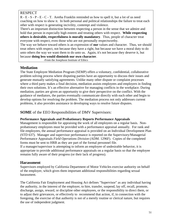## **RESPECT**

R - E - S - P - E - C - T. Aretha Franklin reminded us how to spell it, but a lot of us need coaching on how to show it. In both personal and political relationships the failure to treat each other with respect is generating incivility, contempt and violence.

There's an important distinction between respecting a person in the sense that we admire and hold that person in especially high esteem and treating others with respect. **While respecting others is desirable, respectfulness is morally mandatory**. Thus, people of character treat everyone with respect, even those who are not personally respectworthy.

The way we behave toward others is an expression of **our** values and character. Thus, we should treat others with respect, not because they have a right, but because we have a moral duty to do unto others the way we want them to do unto us. Again, it's not because they deserve it, but because **doing less would diminish our own character**.

-From the Josephson Institute of Ethics

## **Mediation**

The State Employee Mediation Program (SEMP) offers a voluntary, confidential, collaborative problem solving process where disputing parties have an opportunity to discuss their issues and generate mutually satisfying agreements. Unlike many other dispute or complaint processes where a third party makes a final decision, mediation assists employees and employers in finding their own solutions. It's an effective alternative for managing conflicts in the workplace. During mediation, parties are given an opportunity to give their perspective on the conflict. With the guidance of mediators, the parties eventually communicate directly with each other and begin to develop options for resolving the problem. The mediation process not only addresses current problems, it also provides assistance in developing ways to resolve future disputes.

## **SOME** of the EEO Responsibilities of DMV Supervisors:

remains fully aware of their progress (or their lack of progress).

## **Performance Appraisals and Probationary Reports Performance Appraisals**

Management is responsible for appraising the work of all employees on a regular basis. Nonprobationary employees must be provided with a performance appraisal annually. For rank and file employees, the annual performance appraisal is provided on an Individual Development Plan (STD 637). Manager and supervisor performance is reported on the Supervisory/Managerial Performance Appraisals *Field Operations Division* (ADM. 1296F). Copies of the completed forms must be sent to HRB as they are part of the formal personnel file. If a manager/supervisor is attempting to inform an employee of undesirable behavior, it is appropriate to provide additional performance appraisals on a regular basis so that the employee

# **Harassment**

Supervisors employed by California Department of Motor Vehicles exercise authority on behalf of the employer, which gives them important additional responsibilities regarding sexual harassment.

The California Fair Employment and Housing Act defines "Supervisor" as any individual having the authority, in the interest of the employer, to hire, transfer, suspend, lay off, recall, promote, discharge, assign, reward, or discipline other employees, or the responsibility to direct them, or to adjust their grievances, or effectively to recommend that action, if, in connection with the foregoing, the exercise of that authority is not of a merely routine or clerical nature, but requires the use of independent judgment.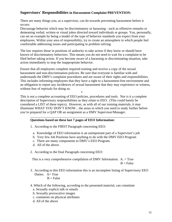## **Supervisors' Responsibilities in Harassment Complaint PREVENTION:**

There are many things you, as a supervisor, can do towards preventing harassment before it occurs:

Discourage behavior which may be discriminatory or harassing - such as offensive remarks or demeaning verbal, written or visual jokes directed toward individuals or groups. You, personally, can set an example by being a model of the type of behavior standards you expect from your employees. Within your area of responsibility, try to create an atmosphere in which people feel comfortable addressing issues and participating in problem solving.

The law requires those in positions of authority to take action if they know or should have known of discriminatory behaviors. This means you do not need to wait for a complaint to be filed before taking action. If you become aware of a harassing or discriminating situation, take action immediately to stop the inappropriate behavior.

Ensure that all employees complete required training and receive a copy of the sexual harassment and non-discrimination policies. Be sure that everyone is familiar with and understands the DMV's complaint procedures and are aware of their rights and responsibilities. This includes informing employees that they have a right to a harassment-free environment and an obligation to report any incidences of sexual harassment that they may experience or witness, without fear of reprisals for doing so.

This is not a complete accounting of EEO policies, procedures and tools. Nor is it a complete description of Supervisory responsibilities as they relate to EEO. (This could barely be considered a LIST of these topics). However, as with all of our training materials, it may illuminate WHAT YOU DON'T KNOW…the areas in which you need to study further before you're prepared for a QAP OR an assignment as a DMV Supervisor/Manager.

\_\_\_\_\_\_\_\_\_\_\_\_\_\_\_\_\_\_\_\_\_\_\_\_\_\_\_\_\_\_\_\_\_\_\_\_\_\_\_\_\_\_\_\_\_\_\_\_\_\_\_\_\_\_\_\_\_\_\_\_\_\_\_\_\_

#### **Questions based on these last 7 pages of EEO Information:**

- 1. According to the FIRST Paragraph concerning EEO:
	- a. Knowledge of EEO information is an unimportant part of a Supervisor's job
	- b. Very few Job Positions have anything to do with the DMV EEO Program
	- c. There are many components to DMV's EEO Program.
	- d. All of the above.

 $\mathbb{R}^n$ 

2. According to the final Paragraph concerning EEO:

 This is a very comprehensive compilation of DMV Information. A. = True  $B = False$ 

3. According to this EEO information this is an incomplete listing of Supervisory EEO Duties.  $A=True$ 

 $B = False$ 

- 4. Which of the following, according to the presented material, can constitute
	- a. Sexually explicit talk or emails
	- b. Sexually provocative images
	- c. comments on physical attributes
	- d. All of the above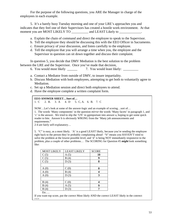For the purpose of the following questions, you ARE the Manager in charge of the employees in each example.

5. It's a barely busy Tuesday morning and one of your LRE's approaches you and indicates that they feel one of their Supervisors has created a hostile work environment. At that moment you are MOST LIKELY TO \_\_\_\_\_\_\_\_\_\_\_\_ and LEAST Likely to \_\_\_\_\_\_\_\_\_\_\_\_\_\_.

- a. Explain the chain of command and direct the employee to speak to the Supervisor.
- b. Tell the employee they should be discussing this with the EEO Officer in Sacramento.
- c. Ensure privacy of your discussion, and listen carefully to the employee.
- d. Tell the employee that you will arrange a time when you, the employee and the Supervisor in question can sit down together and discuss their complaint.

In question 5, you decide that DMV Mediation is the best solution to the problem between the LRE and the Supervisor. Once you've made that decision,

- 6. You would most likely \_\_\_\_\_\_\_\_ 7. You would least likely: \_\_\_\_\_\_\_\_\_
- a. Contact a Mediator from outside of DMV, to insure impartiality.
- b. Discuss Mediation with both employees, attempting to get both to voluntarily agree to Mediation.
- c. Set up a Mediation session and direct both employees to attend.
- d. Have the employee complete a written complaint form.

**EEO ANSWER SHEET…Sort of…**  1. C 2. B. 3. A 4. D 5. C, A. 6. B. 7. C

NOW…Let's look at some of the answer-logic and an example of scoring…sort of…

1. The words 'Many components' in the question *mirror* the words 'Many facets' in paragraph 1, and 'c' is the answer. We tried to slip the 'UN' in unimportant into answer a, hoping to get some quick reader to bite. Answer b is obviously WRONG from the 'Many job announcements and requirements."

2-4 are fairly self-explanatory…

5. "C" is easy, as a most likely. 'A' is a good LEAST likely, because you're sending the employee right back to the person they're probably complaining about! "b" means you HAVEN'T tried to solve the problem at the lowest possible level, and 'd' is being NOT immediately responsive to the problem, plus a couple of other problems… The SCORING for Question #5 *might* look something like:

| <b>MOST LIKELY</b> | <b>LEAST LIKELY</b> | <b>SCORE</b> |
|--------------------|---------------------|--------------|
| C(5)               | A(5)                | 10           |
| C(5)               | B(4)                | 9            |
| C(5)               | D(3)                | 8            |
|                    |                     |              |
| A(0)               | C(0)                |              |
| A (0)              | B(4)                |              |
| A(0)               | D(3)                | 3            |
|                    |                     |              |
| B(4)               | C(0)                |              |
| B(4)               | A(5)                | 9            |
| В<br>(4)           |                     |              |

Etc….

If you want top score, put the correct Most likely AND the correct LEAST likely in the cotrrect spot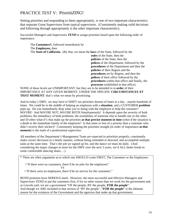# PRACTICE TEST V: Prioriti*ZING*!

Setting priorities and responding to them appropriately, is one of two important characteristics that separate Great Supervisors from typical supervisors. (Consistently making valid decisions and following through appropriately is the *other* important characteristic).

Successful Managers and Supervisors *TEND* to assign priorities based upon the following order of importance:

| The Customers*, followed <i>immediately</i> by                                                  |                                                       |
|-------------------------------------------------------------------------------------------------|-------------------------------------------------------|
| The <b>Employees</b> , then                                                                     |                                                       |
| The <b>State of California.</b> (By that, we mean the <b>laws</b> of the State, followed by the |                                                       |
|                                                                                                 | rules of the State, then the                          |
|                                                                                                 | policies of the State, then the                       |
|                                                                                                 | <b>polices</b> of the Department, followed by the     |
|                                                                                                 | procedures of the Department and then the             |
|                                                                                                 | policies of their Region and the                      |
|                                                                                                 | <b>procedures</b> set by Region, and then the         |
|                                                                                                 | polices of their office followed by the               |
|                                                                                                 | <b>procedures</b> within that office and finally, the |
|                                                                                                 | <b>processes</b> established in that office).         |
| NONE of these levels are UNIMPORTANT, but they are to be attended to in <b>order</b> of their   |                                                       |

IMPORTANCE AT ANY GIVEN MOMENT, UNDER THE SPECIFIC **CIRCUMSTANCES AT THAT MOMENT**: that's what we mean by prioritizing.

And in today's DMV, we may have to SHIFT our priorities dozens of times in a day…maybe hundreds of times. We could be in the middle of helping an employee with a **situation**, and a CUSTOMER **problem** pops up. Do you immediately drop what you're doing with the employee to help the customer? MAYBE! And MAYBE NOT; MAYBE BOTH Simultaneously! It depends upon the severity of both problems, the immediacy of both problems, the availability of someone else to handle one or the other, and 50 other what-if's that make up the priorities **at that precise moment in time** (*what if* the situation is a death in the immediate family of the employee? Is that more or less of a priority than a customer who didn't receive their sticker)? Consistently keeping the priorities straight (in order of importance *at that moment*) is the mark of a professional supervisor.

All members of the Department's Management Team are expected to prioritize properly; consistently make correct decisions in a timely manner, without being reminded or directed; and accomplish multiple tasks at the same time. That's the job we signed up for, and the dance we must do daily. (And considering the major changes in store for the DMV over the next 3 years, we'd ALL better break-in some comfortable dancing shoes….)

\* There are often arguments as to which one SHOULD come FIRST; The Customers or the Employees:

>"If there were no customers, there'd be no jobs for the employees"

VS

>"If there were no employees, there'd be no service for the customers."

BOTH positions have SERIOUS merit. However, the most successful and effective Managers and Supervisors TEND to put the customers first, if for no other reason than we work for the government and, as Lincoln said, we are a government "OF the people, BY the people, **FOR the people**". And though we ARE included in that section of 'BY the people', "**FOR the people**" is the ultimate reason for the existence of the Government and the agencies that make up that government.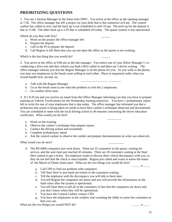## **PRIORITIZING QUESTIONS**

1. You are a Section Manager in the Santa Solo DMV. You arrive at the office as the opening manager at 7:30. The office manager has left a project on your desk that is due tomorrow at 8 am. The control cashier has called in sick, and the back up is not scheduled in until 10 am. The pick up for the deposit is due at 11:00. The other back up is a PI that is scheduled off today. The queue system is non operational.

Which do you deal with first?

- a. Work on the project the office manager left
- b. Prepare the deposit
- c. Call in the PI to prepare the deposit
- d. Call Region to tell them that you can not open the office as the queue is not working.

Which is the last thing that you would do?

2. You arrive at the office at 9:00 am as the late manager. You notice one of your fellow Manager I s is conducting a drive test and they inform you both LREs called in and there are 5 drives waiting. The office manager informs you that the Region Manager is on the phone for you. As you walk to the phone, you hear two employees in the break room yelling at each other. Place in sequential order what you would handle first, second, etc.

 $\frac{1}{\sqrt{2\pi}}$  ,  $\frac{1}{\sqrt{2\pi}}$  ,  $\frac{1}{\sqrt{2\pi}}$  ,  $\frac{1}{\sqrt{2\pi}}$ 

- a. Talk with the Region Manager
- b. Go to the break room to see what the problem is with the 2 employees.

\_\_\_\_\_\_\_\_\_\_

c. Go conduct drive tests.

3. It's 9:20 am and you receive an email from the Office Manager informing you that you have to prepare training on Vehicle Verifications for the Wednesday training tomorrow. You have 1 probationary report left to write for one of your employees that is due today. The office manager has informed you that a technician that action is being taken on needs to have their cashier's technique observed and documented. You are scheduled to meet with the local driving school in 40 minutes concerning the driver education certificates. What would you do first?

- a. Work on the training
- b. Observe the cashier's technique then prepare report.
- c. Contact the driving school and reschedule
- d. Complete probationary report
- e. Ask the control cashier to observe the cashier and prepare documentation on what was observed.

What would you do next?

- 4. The RS 6000 computers just went down. There are 55 customers in the queue, waiting for service, and the wait time just reached 45 minutes. There are 20 customers waiting at the Start Here station to get a ticket. An employee wants to discuss their critical discrepancy with you, as they do not feel that the check is unacceptable. Region just called and wants to know the status of the March of Dimes fund raiser . What are the two things you would do first?
	- $\frac{\&}{}$
- a. Call CPD to find out problem with computers
- b. Tell Start Here to just hand out tickets to the customers waiting
- c. Tell the employee with the discrepancy you will talk to them later.
- d. You tell Region the computers are down and you will provide the information on the fund raiser after the system is operational.
- e. You tell Start Here to tell all of the customers in line that the computers are down and you don't know when they will be operational.
- f. You have the Control Cashier contact CPD
- g. You have the employees at the window start scanning the lobby to assist the customers as best you can.

What are the two things you would NOT do?  $\qquad \qquad \qquad \qquad \qquad \& \qquad \qquad \&$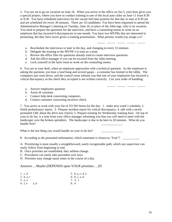5. You are set to go on vacation on June 16. When you arrive in the office on Jun 5, your boss gives you a special project, where you have to conduct training to one of the local auto clubs on June 11 from 8:30 to 9:30. You have scheduled interviews for the vacant full time position for that day to start at 8:30 am and are scheduled for every 30 minutes. There are 10 candidates. You have been requested to attend the Administrative Manager's meeting on Tuesday, June 10, in place of the Adm mgr, who is on vacation. You need to prepare the questions for the interview, and have a counseling memo to write on an employee that has incurred 6 discrepancies in one month. You have two MVFRs that are interested in promoting, but they have never given a training presentation. What priority would you assign a-e?

 $\frac{1}{\sqrt{2}}$  ,  $\frac{1}{\sqrt{2}}$  ,  $\frac{1}{\sqrt{2}}$  ,  $\frac{1}{\sqrt{2}}$  ,  $\frac{1}{\sqrt{2}}$  ,  $\frac{1}{\sqrt{2}}$  ,  $\frac{1}{\sqrt{2}}$ 

 $\overline{\phantom{a}}$  ,  $\overline{\phantom{a}}$ 

- a. Reschedule the interviews to later in the day, and changing to every 15 mintues
- b. Delegate the training to the MVFR's to train as a team
- c. Review the office files for questions already used to create interview questions.
- d. Ask the office manager if you can be excused from the Adm meeting.
- e. Lock yourself in the back room to work on the counseling memo.

6. You are at your desk, when an employee approaches with a technical question. As the employee is asking the question, you hear a loud bang and several gasps – a customer has fainted in the lobby. The computers just went down, and the control room informs you that one of your employees has incurred a critical discrepancy as the check they accepted is not written correctly. List your order of handling:

- a. Answer employees question
- b. Assist ill customer
- c. Contact help desk concerning computers
- d. Contact customer concerning incorrect check.

7. You arrive at work with your list of TO DO Items for the day: 1. make next week's schedule; 2. finish probationary report; 3. Prepare incident report for critical discrepancy; 4. talk with a newly promoted LRE about the drive test criteria; 5. Prepare training for Wednesday training hour. On top of your to do list, is a note from your office manager informing you that you will need to meet with the landscaper over the broken sprinklers. The landscaper is due to be here in 20 minutes. What do you handle first?

What is the last thing you would handle on your to do list?

8. According to the presented information, which statement is closest to 'True''?

A. Prioritizing is most usually a straightforward, easily recognizable path, which any supervisor can easily follow from beginning to end.

B. Once priorities are established, they seldom change.

- C. Procedures can easily take precedent over laws.
- D. Priorities may change many times in the course of a day.

Answers….Maybe (DEPENDS upon YOUR priorities….)

| 1. c.d     |      |      | 5. b, a, c, d, e |
|------------|------|------|------------------|
| 2. b, a, c |      |      | 6. b, c, a, d    |
| 3. e. a    |      |      | 7. 3. 1          |
| 4. f.e     | a, b | 8. d |                  |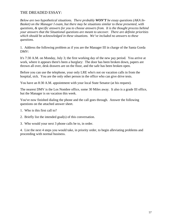## THE DREADED ESSAY:

*Below are two hypothetical situations. There probably WON'T be essay questions (AKA In-Basket) on the Manager I exam, but there may be situations similar to these presented, with questions, & specific answers for you to choose answers from. It is the thought process behind your answers that the Situational questions are meant to uncover. There are definite priorities which should be acknowledged in these situations. We've included no answers to these questions.* 

1. Address the following problem as if you are the Manager III in charge of the Santa Gorda DMV:

It's 7:30 A.M. on Monday, July 3; the first working day of the new pay period. You arrive at work, where it appears there's been a burglary: The door has been broken down, papers are thrown all over, desk drawers are on the floor, and the safe has been broken open.

Before you can use the telephone, your only LRE who's not on vacation calls in from the hospital, sick. You are the only other person in the office who can give drive tests.

You have an 8:30 A.M. appointment with your local State Senator (at his request).

The nearest DMV is the Los Nombre office, some 30 Miles away. It also is a grade III office, but the Manager is on vacation this week.

You've now finished dialing the phone and the call goes through. Answer the following questions on the attached answer sheet.

- 1. Who is this first call to?
- 2. Briefly list the intended goal(s) of this conversation.
- 3. Who would your next 3 phone calls be to, in order.

4. List the next 4 steps you would take, in priority order, to begin alleviating problems and proceeding with normal business.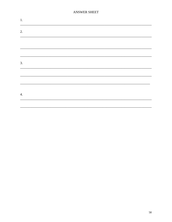## **ANSWER SHEET**

| 1. |  |  |  |
|----|--|--|--|
| 2. |  |  |  |
|    |  |  |  |
|    |  |  |  |
| 3. |  |  |  |
|    |  |  |  |
|    |  |  |  |
| 4. |  |  |  |
|    |  |  |  |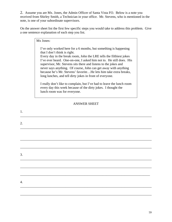2. Assume you are Mx. Jones, the Admin Officer of Santa Vista FO. Below is a note you received from Shirley Smith, a Technician in your office. Mr. Stevens, who is mentioned in the note, is one of your subordinate supervisors.

On the answer sheet list the first few specific steps you would take to address this problem. Give a one sentence explanation of each step you list.

> Mx Jones: I've only worked here for a 6 months, but something is happening that I don't think is right. Every day in the break room, John the LRE tells the filthiest jokes I've ever heard. One-on-one, I asked him not to. He still does. His supervisor, Mr. Stevens sits there and listens to the jokes and never says anything. Of course, John can get away with anything because he's Mr. Stevens' favorite…He lets him take extra breaks, long lunches, and tell dirty jokes in front of everyone. I really don't like to complain, but I've had to leave the lunch room every day this week because of the dirty jokes. I thought the lunch room was for everyone.

## ANSWER SHEET

| 1.                 |  |  |  |
|--------------------|--|--|--|
| 2.                 |  |  |  |
|                    |  |  |  |
|                    |  |  |  |
| 3.                 |  |  |  |
|                    |  |  |  |
|                    |  |  |  |
| $\boldsymbol{4}$ . |  |  |  |
|                    |  |  |  |

\_\_\_\_\_\_\_\_\_\_\_\_\_\_\_\_\_\_\_\_\_\_\_\_\_\_\_\_\_\_\_\_\_\_\_\_\_\_\_\_\_\_\_\_\_\_\_\_\_\_\_\_\_\_\_\_\_\_\_\_\_\_\_\_\_\_\_\_\_\_\_\_\_\_\_\_\_\_